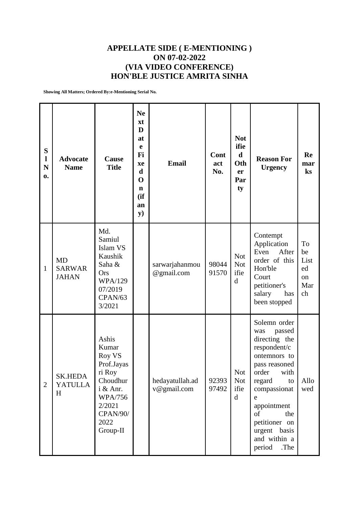## **APPELLATE SIDE ( E-MENTIONING ) ON 07-02-2022 (VIA VIDEO CONFERENCE) HON'BLE JUSTICE AMRITA SINHA**

**Showing All Matters; Ordered By:e-Mentioning Serial No.**

| S<br>$\mathbf{l}$<br>N<br>0. | <b>Advocate</b><br><b>Name</b>             | Cause<br><b>Title</b>                                                                                                                       | <b>Ne</b><br>xt<br>D<br>at<br>$\mathbf e$<br>Fi<br>xe<br>$\mathbf d$<br>$\mathbf 0$<br>$\mathbf n$<br>(ii)<br>an<br>$\mathbf{y})$ | <b>Email</b>                   | Cont<br>act<br>No. | <b>Not</b><br>ifie<br>$\mathbf d$<br>Oth<br>er<br>Par<br>ty | <b>Reason For</b><br><b>Urgency</b>                                                                                                                                                                                                                  | Re<br>mar<br>ks                                      |
|------------------------------|--------------------------------------------|---------------------------------------------------------------------------------------------------------------------------------------------|-----------------------------------------------------------------------------------------------------------------------------------|--------------------------------|--------------------|-------------------------------------------------------------|------------------------------------------------------------------------------------------------------------------------------------------------------------------------------------------------------------------------------------------------------|------------------------------------------------------|
| 1                            | <b>MD</b><br><b>SARWAR</b><br><b>JAHAN</b> | Md.<br>Samiul<br>Islam VS<br>Kaushik<br>Saha &<br>Ors<br><b>WPA/129</b><br>07/2019<br>CPAN/63<br>3/2021                                     |                                                                                                                                   | sarwarjahanmou<br>@gmail.com   | 98044<br>91570     | <b>Not</b><br><b>Not</b><br>ifie<br>d                       | Contempt<br>Application<br>After<br>Even<br>order of this<br>Hon'ble<br>Court<br>petitioner's<br>salary<br>has<br>been stopped                                                                                                                       | To<br>be<br>List<br>ed<br><sub>on</sub><br>Mar<br>ch |
| $\overline{2}$               | <b>SK.HEDA</b><br><b>YATULLA</b><br>H      | Ashis<br>Kumar<br>Roy VS<br>Prof.Jayas<br>ri Roy<br>Choudhur<br>i & Anr.<br><b>WPA/756</b><br>2/2021<br><b>CPAN/90/</b><br>2022<br>Group-II |                                                                                                                                   | hedayatullah.ad<br>v@gmail.com | 92393<br>97492     | <b>Not</b><br><b>Not</b><br>ifie<br>$\mathbf d$             | Solemn order<br>passed<br>was<br>directing the<br>respondent/c<br>ontemnors to<br>pass reasoned<br>order<br>with<br>regard<br>to<br>compassionat<br>e<br>appointment<br>of<br>the<br>petitioner on<br>urgent basis<br>and within a<br>period<br>.The | Allo<br>wed                                          |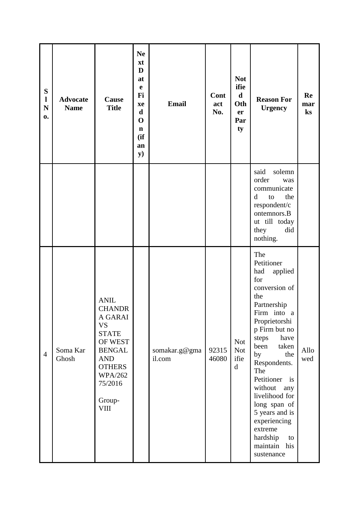| ${\bf S}$<br>$\mathbf{l}$<br>$\mathbf N$<br>0. | <b>Advocate</b><br><b>Name</b> | Cause<br><b>Title</b>                                                                                                                                                                 | <b>Ne</b><br>xt<br>D<br>at<br>e<br>Fi<br>xe<br>$\mathbf d$<br>$\mathbf 0$<br>$\mathbf n$<br>(ii)<br>an<br>${\bf y})$ | <b>Email</b>            | Cont<br>act<br>No. | <b>Not</b><br>ifie<br>$\mathbf d$<br>Oth<br>er<br>Par<br>ty | <b>Reason For</b><br><b>Urgency</b>                                                                                                                                                                                                                                                                                                                                              | Re<br>mar<br>ks |
|------------------------------------------------|--------------------------------|---------------------------------------------------------------------------------------------------------------------------------------------------------------------------------------|----------------------------------------------------------------------------------------------------------------------|-------------------------|--------------------|-------------------------------------------------------------|----------------------------------------------------------------------------------------------------------------------------------------------------------------------------------------------------------------------------------------------------------------------------------------------------------------------------------------------------------------------------------|-----------------|
|                                                |                                |                                                                                                                                                                                       |                                                                                                                      |                         |                    |                                                             | solemn<br>said<br>order<br>was<br>communicate<br>the<br>d<br>to<br>respondent/c<br>ontemnors.B<br>ut till today<br>they<br>did<br>nothing.                                                                                                                                                                                                                                       |                 |
| $\overline{4}$                                 | Soma Kar<br>Ghosh              | <b>ANIL</b><br><b>CHANDR</b><br>A GARAI<br><b>VS</b><br><b>STATE</b><br>OF WEST<br><b>BENGAL</b><br><b>AND</b><br><b>OTHERS</b><br><b>WPA/262</b><br>75/2016<br>Group-<br><b>VIII</b> |                                                                                                                      | somakar.g@gma<br>il.com | 92315<br>46080     | <b>Not</b><br><b>Not</b><br>ifie<br>$\mathbf d$             | The<br>Petitioner<br>had<br>applied<br>for<br>conversion of<br>the<br>Partnership<br>Firm into a<br>Proprietorshi<br>p Firm but no<br>steps<br>have<br>been<br>taken<br>the<br>by<br>Respondents.<br>The<br>Petitioner<br>is<br>without<br>any<br>livelihood for<br>long span of<br>5 years and is<br>experiencing<br>extreme<br>hardship<br>to<br>maintain<br>his<br>sustenance | Allo<br>wed     |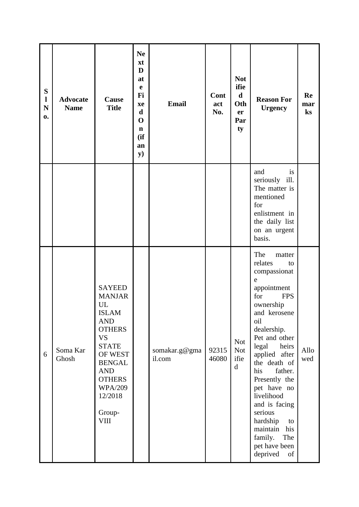| ${\bf S}$<br>$\mathbf{l}$<br>${\bf N}$<br>0. | <b>Advocate</b><br><b>Name</b> | Cause<br><b>Title</b>                                                                                                                                                                                                             | <b>Ne</b><br>xt<br>D<br>at<br>e<br>Fi<br>xe<br>$\mathbf d$<br>$\mathbf 0$<br>$\mathbf n$<br>(ii)<br>an<br>y) | <b>Email</b>            | Cont<br>act<br>No. | <b>Not</b><br>ifie<br>$\mathbf d$<br>Oth<br>er<br>Par<br>ty | <b>Reason For</b><br><b>Urgency</b>                                                                                                                                                                                                                                                                                                                                                               | Re<br>mar<br>$\mathbf{k}$ s |
|----------------------------------------------|--------------------------------|-----------------------------------------------------------------------------------------------------------------------------------------------------------------------------------------------------------------------------------|--------------------------------------------------------------------------------------------------------------|-------------------------|--------------------|-------------------------------------------------------------|---------------------------------------------------------------------------------------------------------------------------------------------------------------------------------------------------------------------------------------------------------------------------------------------------------------------------------------------------------------------------------------------------|-----------------------------|
|                                              |                                |                                                                                                                                                                                                                                   |                                                                                                              |                         |                    |                                                             | and<br>is<br>seriously ill.<br>The matter is<br>mentioned<br>for<br>enlistment in<br>the daily list<br>on an urgent<br>basis.                                                                                                                                                                                                                                                                     |                             |
| 6                                            | Soma Kar<br>Ghosh              | <b>SAYEED</b><br><b>MANJAR</b><br>UL<br><b>ISLAM</b><br><b>AND</b><br><b>OTHERS</b><br><b>VS</b><br><b>STATE</b><br>OF WEST<br><b>BENGAL</b><br><b>AND</b><br><b>OTHERS</b><br><b>WPA/209</b><br>12/2018<br>Group-<br><b>VIII</b> |                                                                                                              | somakar.g@gma<br>il.com | 92315<br>46080     | <b>Not</b><br><b>Not</b><br>ifie<br>$\mathbf d$             | The<br>matter<br>relates<br>to<br>compassionat<br>e<br>appointment<br>for<br><b>FPS</b><br>ownership<br>and kerosene<br>oil<br>dealership.<br>Pet and other<br>legal<br>heirs<br>applied after<br>the death of<br>his<br>father.<br>Presently the<br>pet have no<br>livelihood<br>and is facing<br>serious<br>hardship<br>to<br>maintain his<br>family.<br>The<br>pet have been<br>deprived<br>of | Allo<br>wed                 |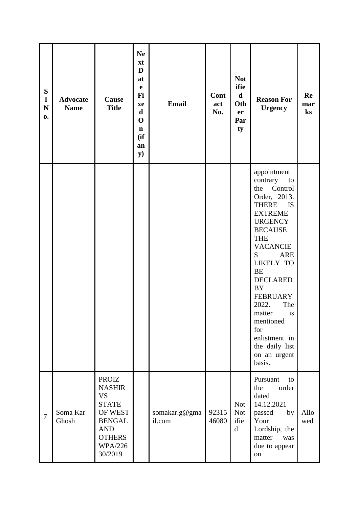| ${\bf S}$<br>$\mathbf{l}$<br>${\bf N}$<br>0. | <b>Advocate</b><br><b>Name</b> | Cause<br><b>Title</b>                                                                                                                              | <b>Ne</b><br>xt<br>D<br>at<br>$\mathbf e$<br>Fi<br>xe<br>$\mathbf d$<br>$\mathbf 0$<br>$\mathbf n$<br>(ii)<br>an<br><b>y</b> ) | <b>Email</b>            | Cont<br>act<br>No. | <b>Not</b><br>ifie<br>$\mathbf d$<br>Oth<br>er<br>Par<br>ty | <b>Reason For</b><br><b>Urgency</b>                                                                                                                                                                                                                                                                                                                                                 | Re<br>mar<br>ks |
|----------------------------------------------|--------------------------------|----------------------------------------------------------------------------------------------------------------------------------------------------|--------------------------------------------------------------------------------------------------------------------------------|-------------------------|--------------------|-------------------------------------------------------------|-------------------------------------------------------------------------------------------------------------------------------------------------------------------------------------------------------------------------------------------------------------------------------------------------------------------------------------------------------------------------------------|-----------------|
|                                              |                                |                                                                                                                                                    |                                                                                                                                |                         |                    |                                                             | appointment<br>contrary<br>to<br>Control<br>the<br>Order, 2013.<br>THERE IS<br><b>EXTREME</b><br><b>URGENCY</b><br><b>BECAUSE</b><br><b>THE</b><br><b>VACANCIE</b><br>S<br><b>ARE</b><br><b>LIKELY TO</b><br>BE<br><b>DECLARED</b><br><b>BY</b><br><b>FEBRUARY</b><br>2022.<br>The<br>is<br>matter<br>mentioned<br>for<br>enlistment in<br>the daily list<br>on an urgent<br>basis. |                 |
| 7                                            | Soma Kar<br>Ghosh              | <b>PROIZ</b><br><b>NASHIR</b><br><b>VS</b><br><b>STATE</b><br>OF WEST<br><b>BENGAL</b><br><b>AND</b><br><b>OTHERS</b><br><b>WPA/226</b><br>30/2019 |                                                                                                                                | somakar.g@gma<br>il.com | 92315<br>46080     | <b>Not</b><br><b>Not</b><br>ifie<br>$\mathbf d$             | Pursuant<br>to<br>order<br>the<br>dated<br>14.12.2021<br>passed<br>by<br>Your<br>Lordship, the<br>matter<br>was<br>due to appear<br>on                                                                                                                                                                                                                                              | Allo<br>wed     |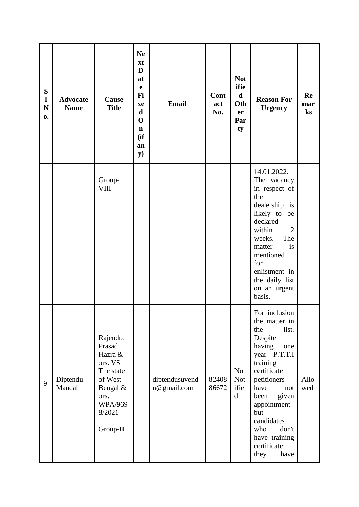| S<br>$\mathbf{l}$<br>$\mathbf N$<br>0. | <b>Advocate</b><br><b>Name</b> | Cause<br><b>Title</b>                                                                                                        | <b>Ne</b><br>xt<br>D<br>at<br>$\mathbf e$<br>Fi<br>xe<br>$\mathbf d$<br>$\mathbf 0$<br>$\mathbf n$<br>(ii)<br>an<br>$\mathbf{y})$ | <b>Email</b>                  | Cont<br>act<br>No. | <b>Not</b><br>ifie<br>$\mathbf d$<br>Oth<br>er<br>Par<br>ty | <b>Reason For</b><br><b>Urgency</b>                                                                                                                                                                                                                                      | Re<br>mar<br>$\mathbf{k}$ s |
|----------------------------------------|--------------------------------|------------------------------------------------------------------------------------------------------------------------------|-----------------------------------------------------------------------------------------------------------------------------------|-------------------------------|--------------------|-------------------------------------------------------------|--------------------------------------------------------------------------------------------------------------------------------------------------------------------------------------------------------------------------------------------------------------------------|-----------------------------|
|                                        |                                | Group-<br>$\rm VIII$                                                                                                         |                                                                                                                                   |                               |                    |                                                             | 14.01.2022.<br>The vacancy<br>in respect of<br>the<br>dealership is<br>likely to be<br>declared<br>$\overline{2}$<br>within<br>weeks.<br>The<br>is<br>matter<br>mentioned<br>for<br>enlistment in<br>the daily list<br>on an urgent<br>basis.                            |                             |
| 9                                      | Diptendu<br>Mandal             | Rajendra<br>Prasad<br>Hazra &<br>ors. VS<br>The state<br>of West<br>Bengal &<br>ors.<br><b>WPA/969</b><br>8/2021<br>Group-II |                                                                                                                                   | diptendusuvend<br>u@gmail.com | 82408<br>86672     | <b>Not</b><br><b>Not</b><br>ifie<br>$\mathbf d$             | For inclusion<br>the matter in<br>list.<br>the<br>Despite<br>having<br>one<br>year P.T.T.I<br>training<br>certificate<br>petitioners<br>have<br>not<br>given<br>been<br>appointment<br>but<br>candidates<br>don't<br>who<br>have training<br>certificate<br>they<br>have | Allo<br>wed                 |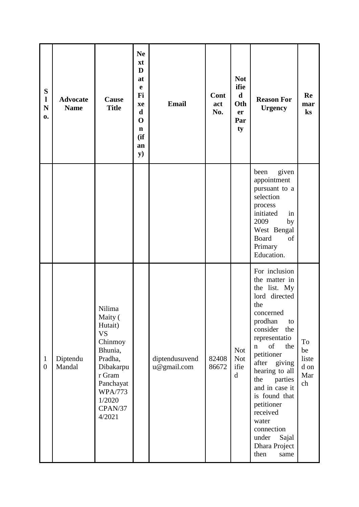| ${\bf S}$<br>$\mathbf{l}$<br>${\bf N}$<br>0. | <b>Advocate</b><br><b>Name</b> | Cause<br><b>Title</b>                                                                                                                                           | <b>Ne</b><br>xt<br>D<br>at<br>$\mathbf e$<br>Fi<br>xe<br>$\mathbf d$<br>$\mathbf 0$<br>$\mathbf n$<br>(ii)<br>an<br>$\mathbf{y})$ | <b>Email</b>                  | Cont<br>act<br>No. | <b>Not</b><br>ifie<br>$\mathbf d$<br>Oth<br>er<br>Par<br>ty | <b>Reason For</b><br><b>Urgency</b>                                                                                                                                                                                                                                                                                                                                              | Re<br>mar<br>$\mathbf{k}$ s            |
|----------------------------------------------|--------------------------------|-----------------------------------------------------------------------------------------------------------------------------------------------------------------|-----------------------------------------------------------------------------------------------------------------------------------|-------------------------------|--------------------|-------------------------------------------------------------|----------------------------------------------------------------------------------------------------------------------------------------------------------------------------------------------------------------------------------------------------------------------------------------------------------------------------------------------------------------------------------|----------------------------------------|
|                                              |                                |                                                                                                                                                                 |                                                                                                                                   |                               |                    |                                                             | given<br>been<br>appointment<br>pursuant to a<br>selection<br>process<br>initiated<br>in<br>2009<br>by<br>West Bengal<br><b>Board</b><br>of<br>Primary<br>Education.                                                                                                                                                                                                             |                                        |
| $\mathbf{1}$<br>$\boldsymbol{0}$             | Diptendu<br>Mandal             | Nilima<br>Maity (<br>Hutait)<br><b>VS</b><br>Chinmoy<br>Bhunia,<br>Pradha,<br>Dibakarpu<br>r Gram<br>Panchayat<br><b>WPA/773</b><br>1/2020<br>CPAN/37<br>4/2021 |                                                                                                                                   | diptendusuvend<br>u@gmail.com | 82408<br>86672     | <b>Not</b><br><b>Not</b><br>ifie<br>$\mathbf d$             | For inclusion<br>the matter in<br>the list. My<br>lord directed<br>the<br>concerned<br>prodhan<br>to<br>consider<br>the<br>representatio<br>of<br>the<br>$\mathbf n$<br>petitioner<br>after<br>giving<br>hearing to all<br>the<br>parties<br>and in case it<br>is found that<br>petitioner<br>received<br>water<br>connection<br>under<br>Sajal<br>Dhara Project<br>then<br>same | To<br>be<br>liste<br>d on<br>Mar<br>ch |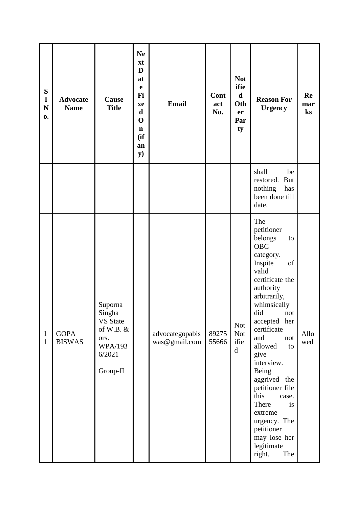| ${\bf S}$<br>$\mathbf{l}$<br>${\bf N}$<br>0. | <b>Advocate</b><br><b>Name</b> | <b>Cause</b><br><b>Title</b>                                                                        | <b>Ne</b><br>xt<br>D<br>at<br>$\mathbf e$<br>Fi<br>xe<br>$\mathbf d$<br>$\mathbf 0$<br>$\mathbf n$<br>(ii)<br>an<br><b>y</b> ) | <b>Email</b>                     | Cont<br>act<br>No. | <b>Not</b><br>ifie<br>$\mathbf d$<br>Oth<br>er<br>Par<br>ty | <b>Reason For</b><br><b>Urgency</b>                                                                                                                                                                                                                                                                                                                                                                                   | Re<br>mar<br>ks |
|----------------------------------------------|--------------------------------|-----------------------------------------------------------------------------------------------------|--------------------------------------------------------------------------------------------------------------------------------|----------------------------------|--------------------|-------------------------------------------------------------|-----------------------------------------------------------------------------------------------------------------------------------------------------------------------------------------------------------------------------------------------------------------------------------------------------------------------------------------------------------------------------------------------------------------------|-----------------|
|                                              |                                |                                                                                                     |                                                                                                                                |                                  |                    |                                                             | shall<br>be<br>restored.<br><b>But</b><br>nothing<br>has<br>been done till<br>date.                                                                                                                                                                                                                                                                                                                                   |                 |
| 1<br>$\mathbf{1}$                            | <b>GOPA</b><br><b>BISWAS</b>   | Suporna<br>Singha<br><b>VS</b> State<br>of W.B. $&$<br>ors.<br><b>WPA/193</b><br>6/2021<br>Group-II |                                                                                                                                | advocategopabis<br>was@gmail.com | 89275<br>55666     | <b>Not</b><br><b>Not</b><br>ifie<br>$\mathbf d$             | The<br>petitioner<br>belongs<br>to<br>OBC<br>category.<br>Inspite<br>of<br>valid<br>certificate the<br>authority<br>arbitrarily,<br>whimsically<br>did<br>not<br>accepted her<br>certificate<br>and<br>not<br>allowed<br>to<br>give<br>interview.<br>Being<br>aggrived the<br>petitioner file<br>this<br>case.<br>There<br>is<br>extreme<br>urgency. The<br>petitioner<br>may lose her<br>legitimate<br>right.<br>The | Allo<br>wed     |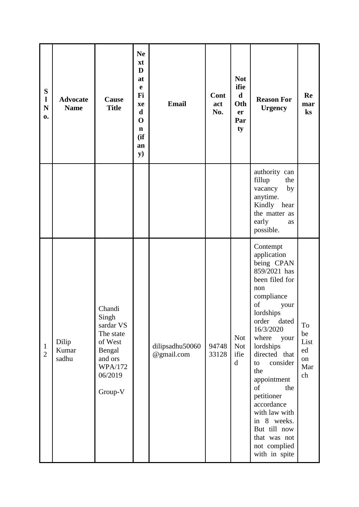| ${\bf S}$<br>$\mathbf{l}$<br>${\bf N}$<br>0. | <b>Advocate</b><br><b>Name</b> | Cause<br><b>Title</b>                                                                                             | <b>Ne</b><br>xt<br>D<br>at<br>$\mathbf e$<br>Fi<br>xe<br>$\mathbf d$<br>$\mathbf 0$<br>$\mathbf n$<br>(ii)<br>an<br>$\mathbf{y})$ | <b>Email</b>                  | Cont<br>act<br>No. | <b>Not</b><br>ifie<br>$\mathbf d$<br>Oth<br>er<br>Par<br>ty | <b>Reason For</b><br><b>Urgency</b>                                                                                                                                                                                                                                                                                                                                                     | Re<br>mar<br>ks                           |
|----------------------------------------------|--------------------------------|-------------------------------------------------------------------------------------------------------------------|-----------------------------------------------------------------------------------------------------------------------------------|-------------------------------|--------------------|-------------------------------------------------------------|-----------------------------------------------------------------------------------------------------------------------------------------------------------------------------------------------------------------------------------------------------------------------------------------------------------------------------------------------------------------------------------------|-------------------------------------------|
|                                              |                                |                                                                                                                   |                                                                                                                                   |                               |                    |                                                             | authority can<br>fillup<br>the<br>vacancy<br>by<br>anytime.<br>Kindly hear<br>the matter as<br>early<br>as<br>possible.                                                                                                                                                                                                                                                                 |                                           |
| $\mathbf{1}$<br>$\overline{2}$               | Dilip<br>Kumar<br>sadhu        | Chandi<br>Singh<br>sardar VS<br>The state<br>of West<br>Bengal<br>and ors<br><b>WPA/172</b><br>06/2019<br>Group-V |                                                                                                                                   | dilipsadhu50060<br>@gmail.com | 94748<br>33128     | <b>Not</b><br><b>Not</b><br>ifie<br>$\mathbf d$             | Contempt<br>application<br>being CPAN<br>859/2021 has<br>been filed for<br>non<br>compliance<br>of<br>your<br>lordships<br>order<br>dated<br>16/3/2020<br>where<br>your<br>lordships<br>directed that<br>consider<br>to<br>the<br>appointment<br>of<br>the<br>petitioner<br>accordance<br>with law with<br>in 8 weeks.<br>But till now<br>that was not<br>not complied<br>with in spite | To<br>be<br>List<br>ed<br>on<br>Mar<br>ch |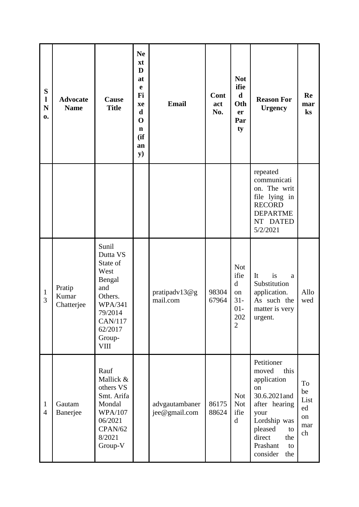| S<br>$\mathbf l$<br>$\mathbf N$<br>0. | <b>Advocate</b><br><b>Name</b> | Cause<br><b>Title</b>                                                                                                                         | <b>Ne</b><br>xt<br>D<br>at<br>$\mathbf e$<br>Fi<br>xe<br>$\mathbf d$<br>$\mathbf 0$<br>$\mathbf n$<br>(ii)<br>an<br>${\bf y})$ | <b>Email</b>                    | Cont<br>act<br>No. | <b>Not</b><br>ifie<br>$\mathbf d$<br>Oth<br>er<br>Par<br>ty                         | <b>Reason For</b><br><b>Urgency</b>                                                                                                                                              | Re<br>mar<br>ks                           |
|---------------------------------------|--------------------------------|-----------------------------------------------------------------------------------------------------------------------------------------------|--------------------------------------------------------------------------------------------------------------------------------|---------------------------------|--------------------|-------------------------------------------------------------------------------------|----------------------------------------------------------------------------------------------------------------------------------------------------------------------------------|-------------------------------------------|
|                                       |                                |                                                                                                                                               |                                                                                                                                |                                 |                    |                                                                                     | repeated<br>communicati<br>on. The writ<br>file lying in<br><b>RECORD</b><br><b>DEPARTME</b><br>NT DATED<br>5/2/2021                                                             |                                           |
| $\mathbf{1}$<br>3                     | Pratip<br>Kumar<br>Chatterjee  | Sunil<br>Dutta VS<br>State of<br>West<br>Bengal<br>and<br>Others.<br><b>WPA/341</b><br>79/2014<br>CAN/117<br>62/2017<br>Group-<br><b>VIII</b> |                                                                                                                                | pratipadv13@g<br>mail.com       | 98304<br>67964     | <b>Not</b><br>ifie<br>$\mathbf d$<br>on<br>$31 -$<br>$01-$<br>202<br>$\overline{2}$ | It<br>is<br>a<br>Substitution<br>application.<br>As such the<br>matter is very<br>urgent.                                                                                        | Allo<br>wed                               |
| $\mathbf{1}$<br>$\overline{4}$        | Gautam<br>Banerjee             | Rauf<br>Mallick &<br>others VS<br>Smt. Arifa<br>Mondal<br><b>WPA/107</b><br>06/2021<br>CPAN/62<br>8/2021<br>Group-V                           |                                                                                                                                | advgautambaner<br>jee@gmail.com | 86175<br>88624     | <b>Not</b><br><b>Not</b><br>ifie<br>$\mathbf d$                                     | Petitioner<br>moved<br>this<br>application<br>on<br>30.6.2021and<br>after hearing<br>your<br>Lordship was<br>pleased<br>to<br>direct<br>the<br>Prashant<br>to<br>consider<br>the | To<br>be<br>List<br>ed<br>on<br>mar<br>ch |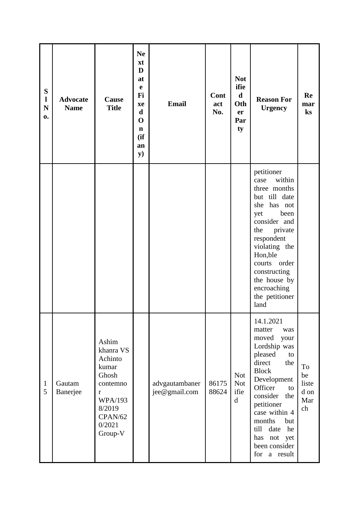| ${\bf S}$<br>$\mathbf{l}$<br>${\bf N}$<br>0. | <b>Advocate</b><br><b>Name</b> | Cause<br><b>Title</b>                                                                                                              | <b>Ne</b><br>xt<br>D<br>at<br>$\mathbf e$<br>Fi<br>xe<br>d<br>$\mathbf 0$<br>$\mathbf n$<br>(ii)<br>an<br><b>y</b> ) | <b>Email</b>                    | Cont<br>act<br>No. | <b>Not</b><br>ifie<br>$\mathbf d$<br>Oth<br>er<br>Par<br>ty | <b>Reason For</b><br><b>Urgency</b>                                                                                                                                                                                                                                                       | Re<br>mar<br>$\mathbf{k}$ s            |
|----------------------------------------------|--------------------------------|------------------------------------------------------------------------------------------------------------------------------------|----------------------------------------------------------------------------------------------------------------------|---------------------------------|--------------------|-------------------------------------------------------------|-------------------------------------------------------------------------------------------------------------------------------------------------------------------------------------------------------------------------------------------------------------------------------------------|----------------------------------------|
|                                              |                                |                                                                                                                                    |                                                                                                                      |                                 |                    |                                                             | petitioner<br>within<br>case<br>three months<br>but till date<br>she has not<br>been<br>yet<br>consider and<br>private<br>the<br>respondent<br>violating the<br>Hon, ble<br>courts order<br>constructing<br>the house by<br>encroaching<br>the petitioner<br>land                         |                                        |
| $\mathbf{1}$<br>5                            | Gautam<br>Banerjee             | Ashim<br>khanra VS<br>Achinto<br>kumar<br>Ghosh<br>contemno<br>$\bf r$<br><b>WPA/193</b><br>8/2019<br>CPAN/62<br>0/2021<br>Group-V |                                                                                                                      | advgautambaner<br>jee@gmail.com | 86175<br>88624     | <b>Not</b><br><b>Not</b><br>ifie<br>$\mathbf d$             | 14.1.2021<br>matter<br>was<br>moved<br>your<br>Lordship was<br>pleased<br>to<br>direct<br>the<br><b>Block</b><br>Development<br>Officer<br>to<br>consider the<br>petitioner<br>case within 4<br>months<br>but<br>he<br>till<br>date<br>has<br>not<br>yet<br>been consider<br>for a result | To<br>be<br>liste<br>d on<br>Mar<br>ch |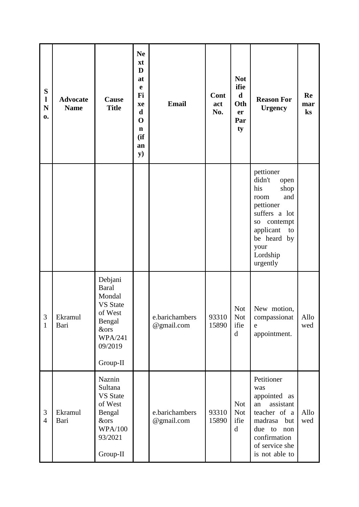| ${\bf S}$<br>$\mathbf{l}$<br>${\bf N}$<br>0. | <b>Advocate</b><br><b>Name</b> | Cause<br><b>Title</b>                                                                                                                 | <b>Ne</b><br>xt<br>D<br>at<br>$\mathbf e$<br>Fi<br>xe<br>$\mathbf d$<br>$\mathbf 0$<br>$\mathbf n$<br>(ii)<br>an<br>$\mathbf{y})$ | <b>Email</b>                 | Cont<br>act<br>No. | <b>Not</b><br>ifie<br>$\mathbf d$<br>Oth<br>er<br>Par<br>ty | <b>Reason For</b><br><b>Urgency</b>                                                                                                                                                      | Re<br>mar<br>$\mathbf{k}$ s |
|----------------------------------------------|--------------------------------|---------------------------------------------------------------------------------------------------------------------------------------|-----------------------------------------------------------------------------------------------------------------------------------|------------------------------|--------------------|-------------------------------------------------------------|------------------------------------------------------------------------------------------------------------------------------------------------------------------------------------------|-----------------------------|
|                                              |                                |                                                                                                                                       |                                                                                                                                   |                              |                    |                                                             | pettioner<br>didn't<br>open<br>his<br>shop<br>and<br>room<br>pettioner<br>suffers a lot<br>contempt<br>SO <sub>1</sub><br>applicant<br>to<br>be heard by<br>your<br>Lordship<br>urgently |                             |
| 3<br>1                                       | Ekramul<br>Bari                | Debjani<br><b>Baral</b><br>Mondal<br><b>VS</b> State<br>of West<br>Bengal<br><b>&amp;ors</b><br><b>WPA/241</b><br>09/2019<br>Group-II |                                                                                                                                   | e.barichambers<br>@gmail.com | 93310<br>15890     | <b>Not</b><br><b>Not</b><br>ifie<br>d                       | New motion,<br>compassionat<br>e<br>appointment.                                                                                                                                         | Allo<br>wed                 |
| 3<br>$\overline{4}$                          | Ekramul<br>Bari                | Naznin<br>Sultana<br><b>VS</b> State<br>of West<br>Bengal<br><b>&amp;ors</b><br><b>WPA/100</b><br>93/2021<br>Group-II                 |                                                                                                                                   | e.barichambers<br>@gmail.com | 93310<br>15890     | <b>Not</b><br><b>Not</b><br>ifie<br>$\mathbf d$             | Petitioner<br>was<br>appointed as<br>assistant<br>an<br>teacher of a<br>madrasa<br>but<br>due to<br>non<br>confirmation<br>of service she<br>is not able to                              | Allo<br>wed                 |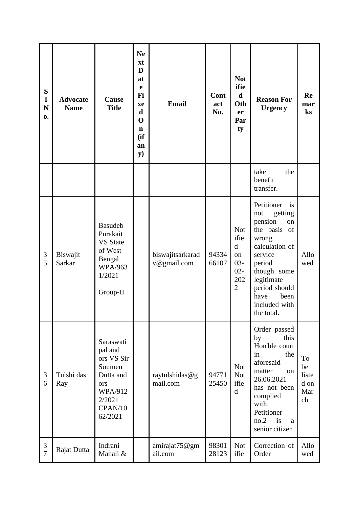| ${\bf S}$<br>$\mathbf{l}$<br>$\mathbf N$<br>0. | <b>Advocate</b><br><b>Name</b> | Cause<br><b>Title</b>                                                                                              | <b>Ne</b><br>xt<br>D<br>at<br>e<br>Fi<br>xe<br>$\mathbf d$<br>$\mathbf 0$<br>$\mathbf n$<br>(ii)<br>an<br>y) | <b>Email</b>                    | Cont<br>act<br>No. | <b>Not</b><br>ifie<br>$\mathbf d$<br>Oth<br>er<br>Par<br>ty                          | <b>Reason For</b><br><b>Urgency</b>                                                                                                                                                                                 | Re<br>mar<br>ks                        |
|------------------------------------------------|--------------------------------|--------------------------------------------------------------------------------------------------------------------|--------------------------------------------------------------------------------------------------------------|---------------------------------|--------------------|--------------------------------------------------------------------------------------|---------------------------------------------------------------------------------------------------------------------------------------------------------------------------------------------------------------------|----------------------------------------|
|                                                |                                |                                                                                                                    |                                                                                                              |                                 |                    |                                                                                      | take<br>the<br>benefit<br>transfer.                                                                                                                                                                                 |                                        |
| 3<br>5                                         | Biswajit<br><b>Sarkar</b>      | <b>Basudeb</b><br>Purakait<br><b>VS</b> State<br>of West<br>Bengal<br><b>WPA/963</b><br>1/2021<br>Group-II         |                                                                                                              | biswajitsarkarad<br>v@gmail.com | 94334<br>66107     | <b>Not</b><br>ifie<br>$\mathbf d$<br>on<br>$03 -$<br>$02 -$<br>202<br>$\overline{2}$ | Petitioner<br>is<br>getting<br>not<br>pension<br>on<br>the basis<br>of<br>wrong<br>calculation of<br>service<br>period<br>though some<br>legitimate<br>period should<br>have<br>been<br>included with<br>the total. | Allo<br>wed                            |
| $\mathfrak{Z}$<br>6                            | Tulshi das<br>Ray              | Saraswati<br>pal and<br>ors VS Sir<br>Soumen<br>Dutta and<br>ors<br><b>WPA/912</b><br>2/2021<br>CPAN/10<br>62/2021 |                                                                                                              | raytulshidas@g<br>mail.com      | 94771<br>25450     | <b>Not</b><br><b>Not</b><br>ifie<br>$\mathbf d$                                      | Order passed<br>by<br>this<br>Hon'ble court<br>the<br>in<br>aforesaid<br>matter<br>on<br>26.06.2021<br>has not been<br>complied<br>with.<br>Petitioner<br>no.2<br>is<br>a<br>senior citizen                         | To<br>be<br>liste<br>d on<br>Mar<br>ch |
| 3<br>$\overline{7}$                            | Rajat Dutta                    | Indrani<br>Mahali &                                                                                                |                                                                                                              | amirajat75@gm<br>ail.com        | 98301<br>28123     | <b>Not</b><br>ifie                                                                   | Correction of<br>Order                                                                                                                                                                                              | Allo<br>wed                            |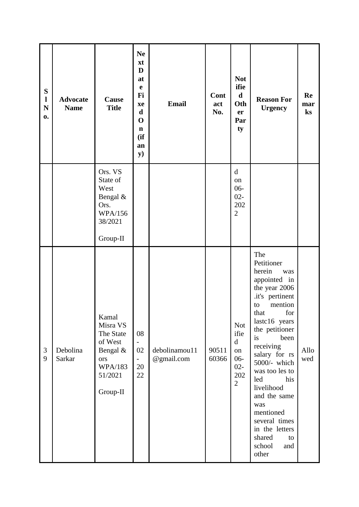| ${\bf S}$<br>$\mathbf{l}$<br>$\mathbf N$<br>$\mathbf{0}$ . | <b>Advocate</b><br><b>Name</b> | Cause<br><b>Title</b>                                                                                 | <b>Ne</b><br>xt<br>D<br>at<br>$\mathbf e$<br>Fi<br>xe<br>$\mathbf d$<br>$\mathbf 0$<br>$\mathbf n$<br>(if<br>an<br>${\bf y})$ | <b>Email</b>                | Cont<br>act<br>No. | <b>Not</b><br>ifie<br>$\mathbf d$<br>Oth<br>er<br>Par<br>ty                          | <b>Reason For</b><br><b>Urgency</b>                                                                                                                                                                                                                                                                                                                                                  | Re<br>mar<br>$\bf ks$ |
|------------------------------------------------------------|--------------------------------|-------------------------------------------------------------------------------------------------------|-------------------------------------------------------------------------------------------------------------------------------|-----------------------------|--------------------|--------------------------------------------------------------------------------------|--------------------------------------------------------------------------------------------------------------------------------------------------------------------------------------------------------------------------------------------------------------------------------------------------------------------------------------------------------------------------------------|-----------------------|
|                                                            |                                | Ors. VS<br>State of<br>West<br>Bengal &<br>Ors.<br><b>WPA/156</b><br>38/2021<br>Group-II              |                                                                                                                               |                             |                    | $\mathbf d$<br>on<br>06-<br>$02 -$<br>202<br>$\overline{2}$                          |                                                                                                                                                                                                                                                                                                                                                                                      |                       |
| 3<br>9                                                     | Debolina<br>Sarkar             | Kamal<br>Misra VS<br>The State<br>of West<br>Bengal &<br>ors<br><b>WPA/183</b><br>51/2021<br>Group-II | 08<br>$\qquad \qquad -$<br>02<br>$\overline{\phantom{0}}$<br>20<br>22                                                         | debolinamou11<br>@gmail.com | 90511<br>60366     | <b>Not</b><br>ifie<br>$\mathbf d$<br>on<br>$06 -$<br>$02 -$<br>202<br>$\overline{2}$ | The<br>Petitioner<br>herein<br>was<br>appointed in<br>the year 2006<br>.it's pertinent<br>mention<br>to<br>for<br>that<br>lastc16 years<br>the petitioner<br>is<br>been<br>receiving<br>salary for rs<br>5000/- which<br>was too les to<br>led<br>his<br>livelihood<br>and the same<br>was<br>mentioned<br>several times<br>in the letters<br>shared<br>to<br>school<br>and<br>other | Allo<br>wed           |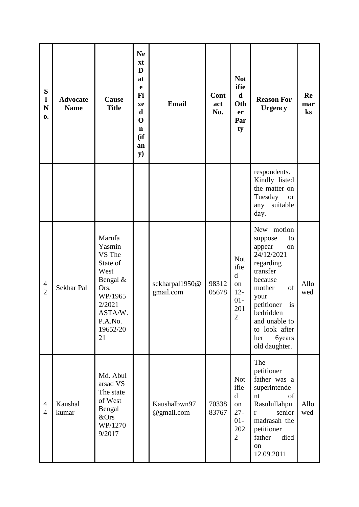| S<br>$\mathbf{l}$<br>$\mathbf N$<br>0. | <b>Advocate</b><br><b>Name</b> | Cause<br><b>Title</b>                                                                                                           | <b>Ne</b><br>xt<br>D<br>at<br>e<br>Fi<br>xe<br>$\mathbf d$<br>$\mathbf 0$<br>$\mathbf n$<br>(ii)<br>an<br>${\bf y})$ | <b>Email</b>                | Cont<br>act<br>No. | <b>Not</b><br>ifie<br>$\mathbf d$<br>Oth<br>er<br>Par<br>ty                         | <b>Reason For</b><br><b>Urgency</b>                                                                                                                                                                                               | Re<br>mar<br>$\mathbf{k}$ s |
|----------------------------------------|--------------------------------|---------------------------------------------------------------------------------------------------------------------------------|----------------------------------------------------------------------------------------------------------------------|-----------------------------|--------------------|-------------------------------------------------------------------------------------|-----------------------------------------------------------------------------------------------------------------------------------------------------------------------------------------------------------------------------------|-----------------------------|
|                                        |                                |                                                                                                                                 |                                                                                                                      |                             |                    |                                                                                     | respondents.<br>Kindly listed<br>the matter on<br>Tuesday<br><b>or</b><br>suitable<br>any<br>day.                                                                                                                                 |                             |
| $\overline{4}$<br>$\overline{2}$       | Sekhar Pal                     | Marufa<br>Yasmin<br>VS The<br>State of<br>West<br>Bengal &<br>Ors.<br>WP/1965<br>2/2021<br>ASTA/W.<br>P.A.No.<br>19652/20<br>21 |                                                                                                                      | sekharpal1950@<br>gmail.com | 98312<br>05678     | <b>Not</b><br>ifie<br>$\mathbf d$<br>on<br>$12 -$<br>$01-$<br>201<br>$\mathbf{2}$   | New motion<br>suppose<br>to<br>appear<br>on<br>24/12/2021<br>regarding<br>transfer<br>because<br>of<br>mother<br>your<br>petitioner<br>is<br>bedridden<br>and unable to<br>to look after<br><b>6years</b><br>her<br>old daughter. | Allo<br>wed                 |
| $\overline{4}$<br>$\overline{4}$       | Kaushal<br>kumar               | Md. Abul<br>arsad VS<br>The state<br>of West<br>Bengal<br>&Ors<br>WP/1270<br>9/2017                                             |                                                                                                                      | Kaushalbwn97<br>@gmail.com  | 70338<br>83767     | <b>Not</b><br>ifie<br>$\mathbf d$<br>on<br>$27 -$<br>$01-$<br>202<br>$\overline{2}$ | The<br>petitioner<br>father was a<br>superintende<br>nt<br>of<br>Rasulullahpu<br>senior<br>r<br>madrasah the<br>petitioner<br>father<br>died<br>on<br>12.09.2011                                                                  | Allo<br>wed                 |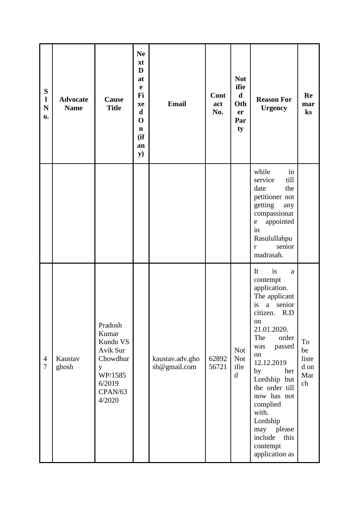| ${\bf S}$<br>$\mathbf{l}$<br>$\mathbf N$<br>0. | <b>Advocate</b><br><b>Name</b> | Cause<br><b>Title</b>                                                                               | <b>Ne</b><br>xt<br>D<br>at<br>$\mathbf e$<br>Fi<br>xe<br>$\mathbf d$<br>$\mathbf 0$<br>$\mathbf n$<br>(ii)<br>an<br><b>y</b> ) | <b>Email</b>                    | Cont<br>act<br>No. | <b>Not</b><br>ifie<br>$\mathbf d$<br>Oth<br>er<br>Par<br>ty | <b>Reason For</b><br><b>Urgency</b>                                                                                                                                                                                                                                                                                                     | Re<br>mar<br>ks                        |
|------------------------------------------------|--------------------------------|-----------------------------------------------------------------------------------------------------|--------------------------------------------------------------------------------------------------------------------------------|---------------------------------|--------------------|-------------------------------------------------------------|-----------------------------------------------------------------------------------------------------------------------------------------------------------------------------------------------------------------------------------------------------------------------------------------------------------------------------------------|----------------------------------------|
|                                                |                                |                                                                                                     |                                                                                                                                |                                 |                    |                                                             | while<br>in<br>till<br>service<br>the<br>date<br>petitioner not<br>getting<br>any<br>compassionat<br>appointed<br>e<br>in<br>Rasulullahpu<br>senior<br>$\mathbf{r}$<br>madrasah.                                                                                                                                                        |                                        |
| $\overline{4}$<br>$\tau$                       | Kaustav<br>ghosh               | Pradosh<br>Kumar<br>Kundu VS<br>Avik Sur<br>Chowdhur<br>y<br>WP/1585<br>6/2019<br>CPAN/63<br>4/2020 |                                                                                                                                | kaustav.adv.gho<br>sh@gmail.com | 62892<br>56721     | <b>Not</b><br><b>Not</b><br>ifie<br>$\mathbf d$             | It<br>is<br>a<br>contempt<br>application.<br>The applicant<br>a<br>senior<br>is<br>citizen. R.D<br>on<br>21.01.2020.<br>The<br>order<br>passed<br>was<br>on<br>12.12.2019<br>by<br>her<br>Lordship but<br>the order till<br>now has not<br>complied<br>with.<br>Lordship<br>may please<br>include<br>this<br>contempt<br>application as | To<br>be<br>liste<br>d on<br>Mar<br>ch |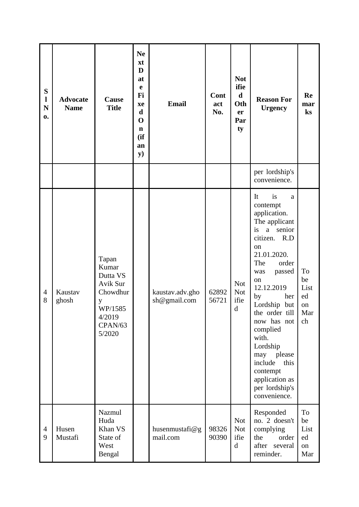| S<br>1<br>$\mathbf N$<br>0. | <b>Advocate</b><br><b>Name</b> | Cause<br><b>Title</b>                                                                             | <b>Ne</b><br>xt<br>D<br>at<br>$\mathbf e$<br>Fi<br>xe<br>$\mathbf d$<br>$\mathbf 0$<br>$\mathbf n$<br>(ii)<br>an<br>$\mathbf{y})$ | <b>Email</b>                    | Cont<br>act<br>No. | <b>Not</b><br>ifie<br>$\mathbf d$<br>Oth<br>er<br>Par<br>ty | <b>Reason For</b><br><b>Urgency</b>                                                                                                                                                                                                                                                                                                                                          | Re<br>mar<br>ks                           |
|-----------------------------|--------------------------------|---------------------------------------------------------------------------------------------------|-----------------------------------------------------------------------------------------------------------------------------------|---------------------------------|--------------------|-------------------------------------------------------------|------------------------------------------------------------------------------------------------------------------------------------------------------------------------------------------------------------------------------------------------------------------------------------------------------------------------------------------------------------------------------|-------------------------------------------|
|                             |                                |                                                                                                   |                                                                                                                                   |                                 |                    |                                                             | per lordship's<br>convenience.                                                                                                                                                                                                                                                                                                                                               |                                           |
| $\overline{4}$<br>8         | Kaustav<br>ghosh               | Tapan<br>Kumar<br>Dutta VS<br>Avik Sur<br>Chowdhur<br>y<br>WP/1585<br>4/2019<br>CPAN/63<br>5/2020 |                                                                                                                                   | kaustav.adv.gho<br>sh@gmail.com | 62892<br>56721     | <b>Not</b><br><b>Not</b><br>ifie<br>$\rm d$                 | is<br>It<br>a<br>contempt<br>application.<br>The applicant<br>is<br>a senior<br>citizen.<br>R.D<br>on<br>21.01.2020.<br>The<br>order<br>passed<br>was<br>on<br>12.12.2019<br>by<br>her<br>Lordship but<br>the order till<br>now has not<br>complied<br>with.<br>Lordship<br>please<br>may<br>include<br>this<br>contempt<br>application as<br>per lordship's<br>convenience. | To<br>be<br>List<br>ed<br>on<br>Mar<br>ch |
| $\overline{4}$<br>9         | Husen<br>Mustafi               | Nazmul<br>Huda<br>Khan VS<br>State of<br>West<br>Bengal                                           |                                                                                                                                   | husenmustafi@g<br>mail.com      | 98326<br>90390     | <b>Not</b><br><b>Not</b><br>ifie<br>$\rm d$                 | Responded<br>no. 2 doesn't<br>complying<br>the<br>order<br>after several<br>reminder.                                                                                                                                                                                                                                                                                        | To<br>be<br>List<br>ed<br>on<br>Mar       |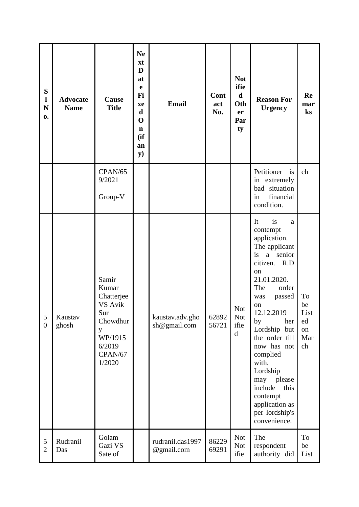| ${\bf S}$<br>$\mathbf{l}$<br>$\mathbf N$<br>0. | <b>Advocate</b><br><b>Name</b> | Cause<br><b>Title</b>                                                                                     | <b>Ne</b><br>xt<br>D<br>at<br>$\mathbf e$<br>Fi<br>xe<br>$\mathbf d$<br>$\mathbf 0$<br>$\mathbf n$<br>(ii)<br>an<br>${\bf y})$ | <b>Email</b>                    | Cont<br>act<br>No. | <b>Not</b><br>ifie<br>$\mathbf d$<br>Oth<br>er<br>Par<br>ty | <b>Reason For</b><br><b>Urgency</b>                                                                                                                                                                                                                                                                                                                                    | Re<br>mar<br>$\mathbf{k}$ s               |
|------------------------------------------------|--------------------------------|-----------------------------------------------------------------------------------------------------------|--------------------------------------------------------------------------------------------------------------------------------|---------------------------------|--------------------|-------------------------------------------------------------|------------------------------------------------------------------------------------------------------------------------------------------------------------------------------------------------------------------------------------------------------------------------------------------------------------------------------------------------------------------------|-------------------------------------------|
|                                                |                                | CPAN/65<br>9/2021<br>Group-V                                                                              |                                                                                                                                |                                 |                    |                                                             | Petitioner<br>is<br>in extremely<br>bad situation<br>financial<br>in<br>condition.                                                                                                                                                                                                                                                                                     | ch                                        |
| 5<br>$\boldsymbol{0}$                          | Kaustav<br>ghosh               | Samir<br>Kumar<br>Chatterjee<br>VS Avik<br>Sur<br>Chowdhur<br>y<br>WP/1915<br>6/2019<br>CPAN/67<br>1/2020 |                                                                                                                                | kaustav.adv.gho<br>sh@gmail.com | 62892<br>56721     | <b>Not</b><br><b>Not</b><br>ifie<br>$\mathbf d$             | It<br>is<br>a<br>contempt<br>application.<br>The applicant<br>is<br>a senior<br>citizen. R.D<br>on<br>21.01.2020.<br>The<br>order<br>passed<br>was<br>on<br>12.12.2019<br>by<br>her<br>Lordship but<br>the order till<br>now has not<br>complied<br>with.<br>Lordship<br>may please<br>include<br>this<br>contempt<br>application as<br>per lordship's<br>convenience. | To<br>be<br>List<br>ed<br>on<br>Mar<br>ch |
| 5<br>$\overline{2}$                            | Rudranil<br>Das                | Golam<br>Gazi VS<br>Sate of                                                                               |                                                                                                                                | rudranil.das1997<br>@gmail.com  | 86229<br>69291     | <b>Not</b><br><b>Not</b><br>ifie                            | The<br>respondent<br>authority did                                                                                                                                                                                                                                                                                                                                     | To<br>be<br>List                          |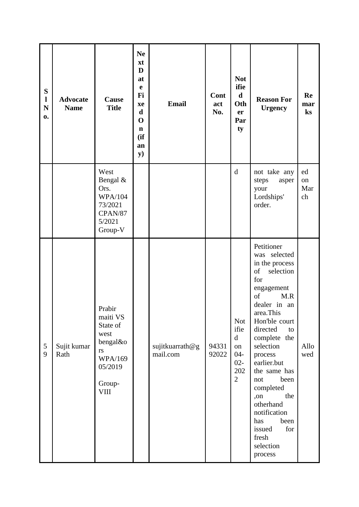| ${\bf S}$<br>$\mathbf{l}$<br>${\bf N}$<br>0. | <b>Advocate</b><br><b>Name</b> | Cause<br><b>Title</b>                                                                                          | <b>Ne</b><br>xt<br>D<br>at<br>$\mathbf e$<br>Fi<br>xe<br>$\mathbf d$<br>$\mathbf 0$<br>$\mathbf n$<br>(ii)<br>an<br>${\bf y})$ | <b>Email</b>                | Cont<br>act<br>No. | <b>Not</b><br>ifie<br>$\mathbf d$<br>Oth<br>er<br>Par<br>ty                          | <b>Reason For</b><br><b>Urgency</b>                                                                                                                                                                                                                                                                                                                                                         | Re<br>mar<br>$\mathbf{k}$ s |
|----------------------------------------------|--------------------------------|----------------------------------------------------------------------------------------------------------------|--------------------------------------------------------------------------------------------------------------------------------|-----------------------------|--------------------|--------------------------------------------------------------------------------------|---------------------------------------------------------------------------------------------------------------------------------------------------------------------------------------------------------------------------------------------------------------------------------------------------------------------------------------------------------------------------------------------|-----------------------------|
|                                              |                                | West<br>Bengal &<br>Ors.<br><b>WPA/104</b><br>73/2021<br>CPAN/87<br>5/2021<br>Group-V                          |                                                                                                                                |                             |                    | $\mathbf d$                                                                          | not take any<br>steps<br>asper<br>your<br>Lordships'<br>order.                                                                                                                                                                                                                                                                                                                              | ed<br>on<br>Mar<br>ch       |
| 5<br>9                                       | Sujit kumar<br>Rath            | Prabir<br>maiti VS<br>State of<br>west<br>bengal&o<br>rs<br><b>WPA/169</b><br>05/2019<br>Group-<br><b>VIII</b> |                                                                                                                                | sujitkuarrath@g<br>mail.com | 94331<br>92022     | <b>Not</b><br>ifie<br>$\mathbf d$<br>on<br>$04 -$<br>$02 -$<br>202<br>$\overline{2}$ | Petitioner<br>was selected<br>in the process<br><sub>of</sub><br>selection<br>for<br>engagement<br>of<br>M.R<br>dealer in an<br>area.This<br>Hon'ble court<br>directed<br>to<br>complete the<br>selection<br>process<br>earlier.but<br>the same has<br>been<br>not<br>completed<br>the<br>,on<br>otherhand<br>notification<br>has<br>been<br>for<br>issued<br>fresh<br>selection<br>process | Allo<br>wed                 |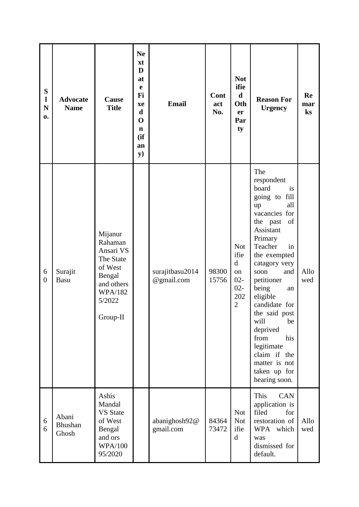| ${\bf S}$<br>$\mathbf{l}$<br>$\mathbf N$<br>0. | <b>Advocate</b><br><b>Name</b>   | Cause<br><b>Title</b>                                                                                                   | <b>Ne</b><br>xt<br>D<br>at<br>$\mathbf e$<br>Fi<br>xe<br>$\mathbf d$<br>$\mathbf 0$<br>$\mathbf n$<br>(ii)<br>an<br>y) | <b>Email</b>                  | Cont<br>act<br>No. | <b>Not</b><br>ifie<br>$\mathbf d$<br>Oth<br>er<br>Par<br>ty                          | <b>Reason For</b><br><b>Urgency</b>                                                                                                                                                                                                                                                                                                                                                            | Re<br>mar<br>ks |
|------------------------------------------------|----------------------------------|-------------------------------------------------------------------------------------------------------------------------|------------------------------------------------------------------------------------------------------------------------|-------------------------------|--------------------|--------------------------------------------------------------------------------------|------------------------------------------------------------------------------------------------------------------------------------------------------------------------------------------------------------------------------------------------------------------------------------------------------------------------------------------------------------------------------------------------|-----------------|
| 6<br>$\overline{0}$                            | Surajit<br>Basu                  | Mijanur<br>Rahaman<br>Ansari VS<br>The State<br>of West<br>Bengal<br>and others<br><b>WPA/182</b><br>5/2022<br>Group-II |                                                                                                                        | surajitbasu2014<br>@gmail.com | 98300<br>15756     | <b>Not</b><br>ifie<br>$\mathbf d$<br>on<br>$02 -$<br>$02 -$<br>202<br>$\overline{2}$ | The<br>respondent<br>board<br>is<br>going to fill<br>all<br>up<br>vacancies for<br>the past<br>of<br>Assistant<br>Primary<br>Teacher<br>in<br>the exempted<br>catagory very<br>soon<br>and<br>petitioner<br>being<br>an<br>eligible<br>candidate for<br>the said post<br>will<br>be<br>deprived<br>from<br>his<br>legitimate<br>claim if the<br>matter is not<br>taken up for<br>hearing soon. | Allo<br>wed     |
| 6<br>6                                         | Abani<br><b>Bhushan</b><br>Ghosh | Ashis<br>Mandal<br><b>VS</b> State<br>of West<br>Bengal<br>and ors<br><b>WPA/100</b><br>95/2020                         |                                                                                                                        | abanighosh92@<br>gmail.com    | 84364<br>73472     | <b>Not</b><br><b>Not</b><br>ifie<br>$\mathbf d$                                      | This<br><b>CAN</b><br>application is<br>filed<br>for<br>restoration of<br>WPA which<br>was<br>dismissed for<br>default.                                                                                                                                                                                                                                                                        | Allo<br>wed     |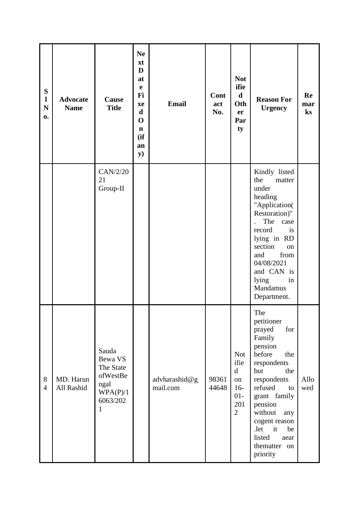| ${\bf S}$<br>$\mathbf{l}$<br>$\mathbf N$<br>0. | <b>Advocate</b><br><b>Name</b> | Cause<br><b>Title</b>                                                          | <b>Ne</b><br>xt<br>D<br>at<br>e<br>Fi<br>xe<br>$\mathbf d$<br>$\mathbf 0$<br>$\mathbf n$<br>(ii)<br>an<br>$\mathbf{y})$ | <b>Email</b>              | Cont<br>act<br>No. | <b>Not</b><br>ifie<br>$\mathbf d$<br>Oth<br>er<br>Par<br>ty                        | <b>Reason For</b><br><b>Urgency</b>                                                                                                                                                                                                                                   | Re<br>mar<br>ks |
|------------------------------------------------|--------------------------------|--------------------------------------------------------------------------------|-------------------------------------------------------------------------------------------------------------------------|---------------------------|--------------------|------------------------------------------------------------------------------------|-----------------------------------------------------------------------------------------------------------------------------------------------------------------------------------------------------------------------------------------------------------------------|-----------------|
|                                                |                                | CAN/2/20<br>21<br>Group-II                                                     |                                                                                                                         |                           |                    |                                                                                    | Kindly listed<br>the<br>matter<br>under<br>heading<br>"Application(<br>Restoration)"<br>The<br>case<br>record<br>is<br>lying in RD<br>section<br>on<br>and<br>from<br>04/08/2021<br>and CAN is<br>lying<br>in<br>Mandamus<br>Department.                              |                 |
| $8\,$<br>$\overline{4}$                        | MD. Harun<br>All Rashid        | Sauda<br>Bewa VS<br>The State<br>ofWestBe<br>ngal<br>WPA(P)/1<br>6063/202<br>1 |                                                                                                                         | advharashid@g<br>mail.com | 98361<br>44648     | <b>Not</b><br>ifie<br>$\mathbf d$<br>on<br>$16-$<br>$01-$<br>201<br>$\overline{2}$ | The<br>petitioner<br>prayed<br>for<br>Family<br>pension<br>before<br>the<br>respondents<br>but<br>the<br>respondents<br>refused<br>to<br>grant family<br>pension<br>without<br>any<br>cogent reason<br>.let<br>it<br>be<br>listed<br>aear<br>thematter on<br>priority | Allo<br>wed     |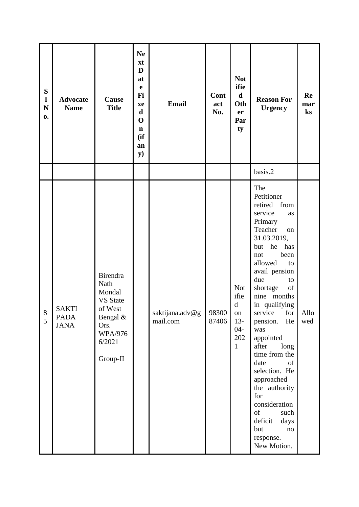| ${\bf S}$<br>$\mathbf{l}$<br>${\bf N}$<br>0. | <b>Advocate</b><br><b>Name</b>             | Cause<br><b>Title</b>                                                                                                | <b>Ne</b><br>xt<br>D<br>at<br>$\mathbf e$<br>Fi<br>xe<br>$\mathbf d$<br>$\mathbf 0$<br>$\mathbf n$<br>(ii)<br>an<br><b>y</b> ) | <b>Email</b>                | Cont<br>act<br>No. | <b>Not</b><br>ifie<br>$\mathbf d$<br>Oth<br>er<br>Par<br>ty                               | <b>Reason For</b><br><b>Urgency</b>                                                                                                                                                                                                                                                                                                                                                                                                                                                                 | Re<br>mar<br>ks |
|----------------------------------------------|--------------------------------------------|----------------------------------------------------------------------------------------------------------------------|--------------------------------------------------------------------------------------------------------------------------------|-----------------------------|--------------------|-------------------------------------------------------------------------------------------|-----------------------------------------------------------------------------------------------------------------------------------------------------------------------------------------------------------------------------------------------------------------------------------------------------------------------------------------------------------------------------------------------------------------------------------------------------------------------------------------------------|-----------------|
|                                              |                                            |                                                                                                                      |                                                                                                                                |                             |                    |                                                                                           | basis.2                                                                                                                                                                                                                                                                                                                                                                                                                                                                                             |                 |
| $\,8\,$<br>5                                 | <b>SAKTI</b><br><b>PADA</b><br><b>JANA</b> | Birendra<br>Nath<br>Mondal<br><b>VS</b> State<br>of West<br>Bengal &<br>Ors.<br><b>WPA/976</b><br>6/2021<br>Group-II |                                                                                                                                | saktijana.adv@g<br>mail.com | 98300<br>87406     | <b>Not</b><br>ifie<br>$\mathbf d$<br>${\bf on}$<br>$13-$<br>$04 -$<br>202<br>$\mathbf{1}$ | The<br>Petitioner<br>retired from<br>service<br>as<br>Primary<br>Teacher<br>on<br>31.03.2019,<br>he<br>but<br>has<br>been<br>not<br>allowed<br>to<br>avail pension<br>due<br>to<br>shortage<br>of<br>nine months<br>in qualifying<br>service for<br>He<br>pension.<br>was<br>appointed<br>after<br>long<br>time from the<br>date<br>of<br>selection. He<br>approached<br>the authority<br>for<br>consideration<br>of<br>such<br>deficit<br>days<br>but<br>$\mathbf{no}$<br>response.<br>New Motion. | Allo<br>wed     |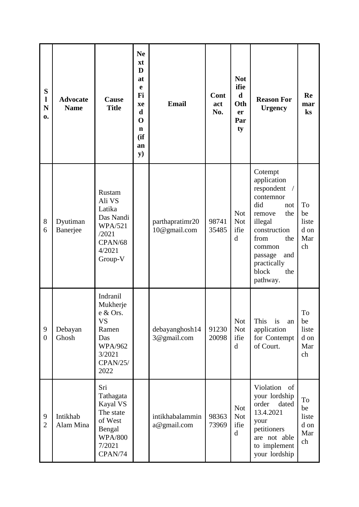| S<br>1<br>$\mathbf N$<br>0. | <b>Advocate</b><br><b>Name</b> | Cause<br><b>Title</b>                                                                                                | <b>Ne</b><br>xt<br>D<br>at<br>e<br>Fi<br>xe<br>d<br>$\mathbf 0$<br>$\mathbf n$<br>(ii)<br>an<br><b>y</b> ) | <b>Email</b>                    | Cont<br>act<br>No. | <b>Not</b><br>ifie<br>$\mathbf d$<br>Oth<br>er<br>Par<br>ty | <b>Reason For</b><br><b>Urgency</b>                                                                                                                                                               | Re<br>mar<br>$\mathbf{k}$ s            |
|-----------------------------|--------------------------------|----------------------------------------------------------------------------------------------------------------------|------------------------------------------------------------------------------------------------------------|---------------------------------|--------------------|-------------------------------------------------------------|---------------------------------------------------------------------------------------------------------------------------------------------------------------------------------------------------|----------------------------------------|
| 8<br>6                      | Dyutiman<br>Banerjee           | Rustam<br>Ali VS<br>Latika<br>Das Nandi<br><b>WPA/521</b><br>/2021<br>CPAN/68<br>4/2021<br>Group-V                   |                                                                                                            | parthapratimr20<br>10@gmail.com | 98741<br>35485     | <b>Not</b><br><b>Not</b><br>ifie<br>d                       | Cotempt<br>application<br>respondent<br>contemnor<br>did<br>not<br>the<br>remove<br>illegal<br>construction<br>from<br>the<br>common<br>and<br>passage<br>practically<br>block<br>the<br>pathway. | To<br>be<br>liste<br>d on<br>Mar<br>ch |
| 9<br>$\boldsymbol{0}$       | Debayan<br>Ghosh               | Indranil<br>Mukherje<br>e & Ors.<br><b>VS</b><br>Ramen<br>Das<br><b>WPA/962</b><br>3/2021<br><b>CPAN/25/</b><br>2022 |                                                                                                            | debayanghosh14<br>3@gmail.com   | 91230<br>20098     | <b>Not</b><br><b>Not</b><br>ifie<br>$\mathbf d$             | This<br>is<br>an<br>application<br>for Contempt<br>of Court.                                                                                                                                      | To<br>be<br>liste<br>d on<br>Mar<br>ch |
| 9<br>$\overline{2}$         | Intikhab<br>Alam Mina          | Sri<br>Tathagata<br>Kayal VS<br>The state<br>of West<br>Bengal<br><b>WPA/800</b><br>7/2021<br>CPAN/74                |                                                                                                            | intikhabalammin<br>a@gmail.com  | 98363<br>73969     | <b>Not</b><br><b>Not</b><br>ifie<br>$\mathbf d$             | Violation<br>of<br>your lordship<br>order<br>dated<br>13.4.2021<br>your<br>petitioners<br>are not able<br>to implement<br>your lordship                                                           | To<br>be<br>liste<br>d on<br>Mar<br>ch |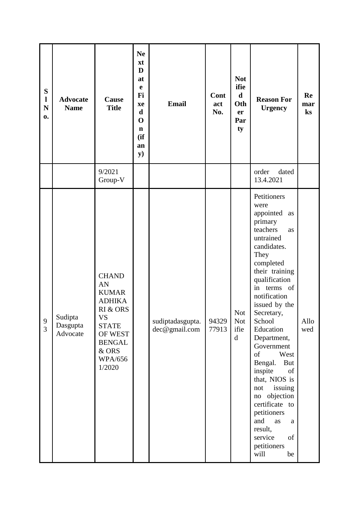| ${\bf S}$<br>$\mathbf{l}$<br>$\mathbf N$<br>$\mathbf{0}$ . | <b>Advocate</b><br><b>Name</b>  | Cause<br><b>Title</b>                                                                                                                                         | <b>Ne</b><br>xt<br>D<br>at<br>e<br>Fi<br>xe<br>$\mathbf d$<br>$\mathbf 0$<br>$\mathbf n$<br>(if)<br>an<br>$\mathbf{y})$ | <b>Email</b>                      | Cont<br>act<br>No. | <b>Not</b><br>ifie<br>$\mathbf d$<br>Oth<br>er<br>Par<br>ty | <b>Reason For</b><br><b>Urgency</b>                                                                                                                                                                                                                                                                                                                                                                                                                                                              | Re<br>mar<br>$\mathbf{k}$ s |
|------------------------------------------------------------|---------------------------------|---------------------------------------------------------------------------------------------------------------------------------------------------------------|-------------------------------------------------------------------------------------------------------------------------|-----------------------------------|--------------------|-------------------------------------------------------------|--------------------------------------------------------------------------------------------------------------------------------------------------------------------------------------------------------------------------------------------------------------------------------------------------------------------------------------------------------------------------------------------------------------------------------------------------------------------------------------------------|-----------------------------|
|                                                            |                                 | 9/2021<br>Group-V                                                                                                                                             |                                                                                                                         |                                   |                    |                                                             | order<br>dated<br>13.4.2021                                                                                                                                                                                                                                                                                                                                                                                                                                                                      |                             |
| 9<br>$\overline{3}$                                        | Sudipta<br>Dasgupta<br>Advocate | <b>CHAND</b><br>AN<br><b>KUMAR</b><br><b>ADHIKA</b><br>RI & ORS<br><b>VS</b><br><b>STATE</b><br>OF WEST<br><b>BENGAL</b><br>& ORS<br><b>WPA/656</b><br>1/2020 |                                                                                                                         | sudiptadasgupta.<br>dec@gmail.com | 94329<br>77913     | Not<br><b>Not</b><br>ifie<br>$\rm d$                        | Petitioners<br>were<br>appointed<br>as<br>primary<br>teachers<br><b>as</b><br>untrained<br>candidates.<br>They<br>completed<br>their training<br>qualification<br>in terms of<br>notification<br>issued by the<br>Secretary,<br>School<br>Education<br>Department,<br>Government<br>of<br>West<br>Bengal.<br>But<br>inspite<br>of<br>that, NIOS is<br>issuing<br>not<br>no objection<br>certificate to<br>petitioners<br>and<br>as<br>a<br>result,<br>service<br>of<br>petitioners<br>will<br>be | Allo<br>wed                 |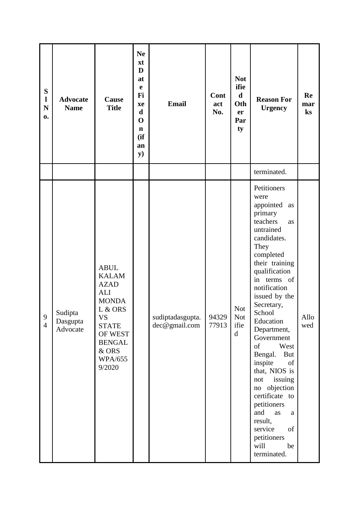| ${\bf S}$<br>$\mathbf{l}$<br>$\mathbf N$<br>$\mathbf{0}$ . | <b>Advocate</b><br><b>Name</b>  | Cause<br><b>Title</b>                                                                                                                                                             | <b>Ne</b><br>xt<br>D<br>at<br>e<br>Fi<br>xe<br>$\mathbf d$<br>$\mathbf 0$<br>$\mathbf n$<br>(ii)<br>an<br>y) | <b>Email</b>                      | Cont<br>act<br>No. | <b>Not</b><br>ifie<br>$\mathbf d$<br>Oth<br>er<br>Par<br>ty | <b>Reason For</b><br><b>Urgency</b>                                                                                                                                                                                                                                                                                                                                                                                                                                                                             | Re<br>mar<br>$\mathbf{k}$ s |
|------------------------------------------------------------|---------------------------------|-----------------------------------------------------------------------------------------------------------------------------------------------------------------------------------|--------------------------------------------------------------------------------------------------------------|-----------------------------------|--------------------|-------------------------------------------------------------|-----------------------------------------------------------------------------------------------------------------------------------------------------------------------------------------------------------------------------------------------------------------------------------------------------------------------------------------------------------------------------------------------------------------------------------------------------------------------------------------------------------------|-----------------------------|
|                                                            |                                 |                                                                                                                                                                                   |                                                                                                              |                                   |                    |                                                             | terminated.                                                                                                                                                                                                                                                                                                                                                                                                                                                                                                     |                             |
| $\mathbf{9}$<br>$\overline{4}$                             | Sudipta<br>Dasgupta<br>Advocate | <b>ABUL</b><br><b>KALAM</b><br><b>AZAD</b><br><b>ALI</b><br><b>MONDA</b><br>L & ORS<br><b>VS</b><br><b>STATE</b><br>OF WEST<br><b>BENGAL</b><br>& ORS<br><b>WPA/655</b><br>9/2020 |                                                                                                              | sudiptadasgupta.<br>dec@gmail.com | 94329<br>77913     | <b>Not</b><br><b>Not</b><br>ifie<br>$\mathbf d$             | Petitioners<br>were<br>appointed<br>as<br>primary<br>teachers<br>as<br>untrained<br>candidates.<br>They<br>completed<br>their training<br>qualification<br>in terms of<br>notification<br>issued by the<br>Secretary,<br>School<br>Education<br>Department,<br>Government<br>of<br>West<br>Bengal.<br><b>But</b><br>inspite<br>of<br>that, NIOS is<br>issuing<br>not<br>no objection<br>certificate to<br>petitioners<br>and<br>as<br>a<br>result,<br>service<br>of<br>petitioners<br>will<br>be<br>terminated. | Allo<br>wed                 |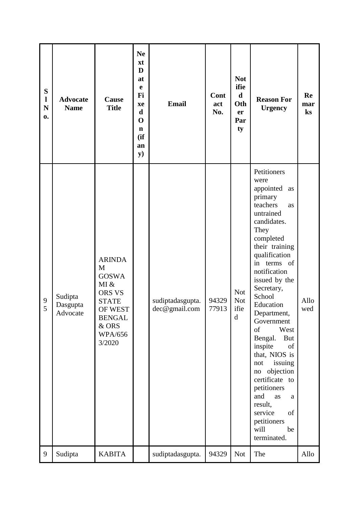| S<br>$\mathbf{l}$<br>$\mathbf N$<br>0. | <b>Advocate</b><br><b>Name</b>  | Cause<br><b>Title</b>                                                                                                                 | <b>Ne</b><br>xt<br>D<br>at<br>$\mathbf e$<br>Fi<br>xe<br>$\mathbf d$<br>$\mathbf 0$<br>$\mathbf n$<br>(ii)<br>an<br>$\mathbf{y})$ | <b>Email</b>                      | Cont<br>act<br>No. | <b>Not</b><br>ifie<br>$\mathbf d$<br>Oth<br>er<br>Par<br>ty | <b>Reason For</b><br><b>Urgency</b>                                                                                                                                                                                                                                                                                                                                                                                                                                                                                | Re<br>mar<br>ks |
|----------------------------------------|---------------------------------|---------------------------------------------------------------------------------------------------------------------------------------|-----------------------------------------------------------------------------------------------------------------------------------|-----------------------------------|--------------------|-------------------------------------------------------------|--------------------------------------------------------------------------------------------------------------------------------------------------------------------------------------------------------------------------------------------------------------------------------------------------------------------------------------------------------------------------------------------------------------------------------------------------------------------------------------------------------------------|-----------------|
| 9<br>5                                 | Sudipta<br>Dasgupta<br>Advocate | <b>ARINDA</b><br>M<br><b>GOSWA</b><br>MI &<br>ORS VS<br><b>STATE</b><br>OF WEST<br><b>BENGAL</b><br>& ORS<br><b>WPA/656</b><br>3/2020 |                                                                                                                                   | sudiptadasgupta.<br>dec@gmail.com | 94329<br>77913     | <b>Not</b><br><b>Not</b><br>ifie<br>${\rm d}$               | Petitioners<br>were<br>appointed<br>as<br>primary<br>teachers<br><b>as</b><br>untrained<br>candidates.<br>They<br>completed<br>their training<br>qualification<br>in terms of<br>notification<br>issued by the<br>Secretary,<br>School<br>Education<br>Department,<br>Government<br>of<br>West<br>Bengal.<br>But<br>inspite<br>of<br>that, NIOS is<br>issuing<br>not<br>objection<br>no<br>certificate to<br>petitioners<br>and<br>as<br>a<br>result,<br>service<br>of<br>petitioners<br>will<br>be<br>terminated. | Allo<br>wed     |
| 9                                      | Sudipta                         | <b>KABITA</b>                                                                                                                         |                                                                                                                                   | sudiptadasgupta.                  | 94329              | <b>Not</b>                                                  | The                                                                                                                                                                                                                                                                                                                                                                                                                                                                                                                | Allo            |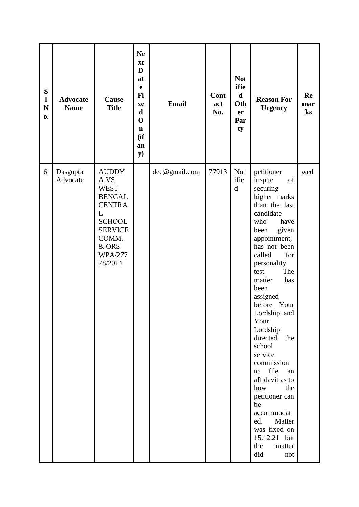| ${\bf S}$<br>$\mathbf{l}$<br>$\mathbf N$<br>0. | <b>Advocate</b><br><b>Name</b> | Cause<br><b>Title</b>                                                                                                                                        | <b>Ne</b><br>xt<br>D<br>at<br>$\mathbf e$<br>Fi<br>xe<br>$\mathbf d$<br>$\mathbf 0$<br>$\mathbf n$<br>(ii)<br>an<br><b>y</b> ) | <b>Email</b>  | Cont<br>act<br>No. | <b>Not</b><br>ifie<br>$\mathbf d$<br>Oth<br>er<br>Par<br>ty | <b>Reason For</b><br><b>Urgency</b>                                                                                                                                                                                                                                                                                                                                                                                                                                                                                            | Re<br>mar<br>$\mathbf{k}$ s |
|------------------------------------------------|--------------------------------|--------------------------------------------------------------------------------------------------------------------------------------------------------------|--------------------------------------------------------------------------------------------------------------------------------|---------------|--------------------|-------------------------------------------------------------|--------------------------------------------------------------------------------------------------------------------------------------------------------------------------------------------------------------------------------------------------------------------------------------------------------------------------------------------------------------------------------------------------------------------------------------------------------------------------------------------------------------------------------|-----------------------------|
| 6                                              | Dasgupta<br>Advocate           | <b>AUDDY</b><br>A VS<br><b>WEST</b><br><b>BENGAL</b><br><b>CENTRA</b><br>L<br><b>SCHOOL</b><br><b>SERVICE</b><br>COMM.<br>& ORS<br><b>WPA/277</b><br>78/2014 |                                                                                                                                | dec@gmail.com | 77913              | <b>Not</b><br>ifie<br>$\mathbf d$                           | petitioner<br>of<br>inspite<br>securing<br>higher marks<br>than the last<br>candidate<br>who<br>have<br>given<br>been<br>appointment,<br>has not been<br>called<br>for<br>personality<br>The<br>test.<br>has<br>matter<br>been<br>assigned<br>before<br>Your<br>Lordship and<br>Your<br>Lordship<br>directed the<br>school<br>service<br>commission<br>file<br>to<br>an<br>affidavit as to<br>how<br>the<br>petitioner can<br>be<br>accommodat<br>Matter<br>ed.<br>was fixed on<br>15.12.21 but<br>the<br>matter<br>did<br>not | wed                         |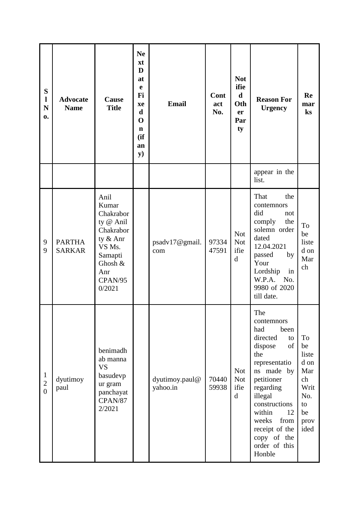| S<br>1<br>$\mathbf N$<br>0.                      | <b>Advocate</b><br><b>Name</b> | Cause<br><b>Title</b>                                                                                                        | <b>Ne</b><br>xt<br>D<br>at<br>e<br>Fi<br>xe<br>$\mathbf d$<br>$\mathbf 0$<br>$\mathbf n$<br>(ii)<br>an<br><b>y</b> ) | <b>Email</b>               | Cont<br>act<br>No. | <b>Not</b><br>ifie<br>$\mathbf d$<br>Oth<br>er<br>Par<br>ty | <b>Reason For</b><br><b>Urgency</b>                                                                                                                                                                                                                           | Re<br>mar<br>$\mathbf{k}$ s                                                       |
|--------------------------------------------------|--------------------------------|------------------------------------------------------------------------------------------------------------------------------|----------------------------------------------------------------------------------------------------------------------|----------------------------|--------------------|-------------------------------------------------------------|---------------------------------------------------------------------------------------------------------------------------------------------------------------------------------------------------------------------------------------------------------------|-----------------------------------------------------------------------------------|
|                                                  |                                |                                                                                                                              |                                                                                                                      |                            |                    |                                                             | appear in the<br>list.                                                                                                                                                                                                                                        |                                                                                   |
| 9<br>9                                           | <b>PARTHA</b><br><b>SARKAR</b> | Anil<br>Kumar<br>Chakrabor<br>ty @ Anil<br>Chakrabor<br>ty & Anr<br>VS Ms.<br>Samapti<br>Ghosh &<br>Anr<br>CPAN/95<br>0/2021 |                                                                                                                      | psadv17@gmail.<br>com      | 97334<br>47591     | <b>Not</b><br><b>Not</b><br>ifie<br>$\mathbf d$             | That<br>the<br>contemnors<br>did<br>not<br>comply<br>the<br>solemn order<br>dated<br>12.04.2021<br>passed<br>by<br>Your<br>Lordship<br>in<br>W.P.A. No.<br>9980 of 2020<br>till date.                                                                         | To<br>be<br>liste<br>d on<br>Mar<br>ch                                            |
| $\mathbf{1}$<br>$\overline{c}$<br>$\overline{0}$ | dyutimoy<br>paul               | benimadh<br>ab manna<br><b>VS</b><br>basudevp<br>ur gram<br>panchayat<br>CPAN/87<br>2/2021                                   |                                                                                                                      | dyutimoy.paul@<br>yahoo.in | 70440<br>59938     | <b>Not</b><br><b>Not</b><br>ifie<br>$\rm d$                 | The<br>contemnors<br>had<br>been<br>directed<br>to<br>dispose<br>of<br>the<br>representatio<br>ns made by<br>petitioner<br>regarding<br>illegal<br>constructions<br>within<br>12<br>weeks<br>from<br>receipt of the<br>copy of the<br>order of this<br>Honble | To<br>be<br>liste<br>d on<br>Mar<br>ch<br>Writ<br>No.<br>to<br>be<br>prov<br>ided |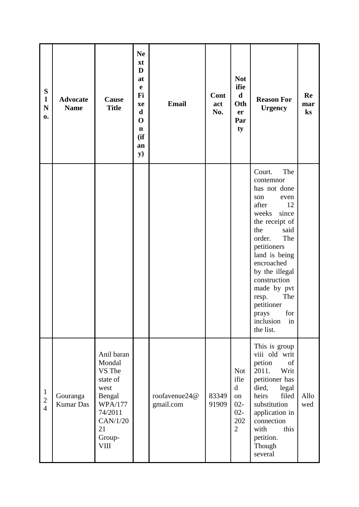| ${\bf S}$<br>$\mathbf{l}$<br>${\bf N}$<br>0. | <b>Advocate</b><br><b>Name</b> | Cause<br><b>Title</b>                                                                                                                | <b>Ne</b><br>xt<br>D<br>at<br>$\mathbf e$<br>Fi<br>xe<br>$\mathbf d$<br>$\mathbf 0$<br>$\mathbf n$<br>(ii)<br>an<br><b>y</b> ) | <b>Email</b>               | Cont<br>act<br>No. | <b>Not</b><br>ifie<br>$\mathbf d$<br>Oth<br>er<br>Par<br>ty                        | <b>Reason For</b><br><b>Urgency</b>                                                                                                                                                                                                                                                                                       | Re<br>mar<br>$\mathbf{k}$ s |
|----------------------------------------------|--------------------------------|--------------------------------------------------------------------------------------------------------------------------------------|--------------------------------------------------------------------------------------------------------------------------------|----------------------------|--------------------|------------------------------------------------------------------------------------|---------------------------------------------------------------------------------------------------------------------------------------------------------------------------------------------------------------------------------------------------------------------------------------------------------------------------|-----------------------------|
|                                              |                                |                                                                                                                                      |                                                                                                                                |                            |                    |                                                                                    | The<br>Court.<br>contemnor<br>has not done<br>son<br>even<br>after<br>12<br>weeks<br>since<br>the receipt of<br>the<br>said<br>The<br>order.<br>petitioners<br>land is being<br>encroached<br>by the illegal<br>construction<br>made by pvt<br>The<br>resp.<br>petitioner<br>for<br>prays<br>inclusion<br>in<br>the list. |                             |
| $\mathbf{1}$<br>$\sqrt{2}$<br>$\overline{4}$ | Gouranga<br><b>Kumar Das</b>   | Anil baran<br>Mondal<br>VS The<br>state of<br>west<br>Bengal<br><b>WPA/177</b><br>74/2011<br>CAN/1/20<br>21<br>Group-<br><b>VIII</b> |                                                                                                                                | roofavenue24@<br>gmail.com | 83349<br>91909     | <b>Not</b><br>ifie<br>$\mathbf d$<br>on<br>$02 -$<br>$02 -$<br>202<br>$\mathbf{2}$ | This is group<br>viii old writ<br>petion<br>of<br>2011.<br>Writ<br>petitioner has<br>died,<br>legal<br>filed<br>heirs<br>substitution<br>application in<br>connection<br>this<br>with<br>petition.<br>Though<br>several                                                                                                   | Allo<br>wed                 |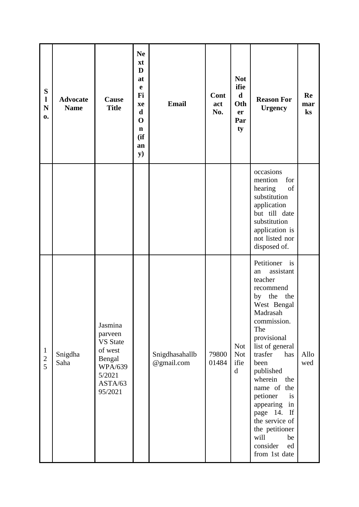| ${\bf S}$<br>$\mathbf{l}$<br>${\bf N}$<br>0. | <b>Advocate</b><br><b>Name</b> | Cause<br><b>Title</b>                                                                                        | <b>Ne</b><br>xt<br>D<br>at<br>e<br>Fi<br>xe<br>$\mathbf d$<br>$\mathbf 0$<br>$\mathbf n$<br>(ii)<br>an<br><b>y</b> ) | <b>Email</b>                 | Cont<br>act<br>No. | <b>Not</b><br>ifie<br>$\mathbf d$<br>Oth<br>er<br>Par<br>ty | <b>Reason For</b><br><b>Urgency</b>                                                                                                                                                                                                                                                                                                                                        | Re<br>mar<br>ks |
|----------------------------------------------|--------------------------------|--------------------------------------------------------------------------------------------------------------|----------------------------------------------------------------------------------------------------------------------|------------------------------|--------------------|-------------------------------------------------------------|----------------------------------------------------------------------------------------------------------------------------------------------------------------------------------------------------------------------------------------------------------------------------------------------------------------------------------------------------------------------------|-----------------|
|                                              |                                |                                                                                                              |                                                                                                                      |                              |                    |                                                             | occasions<br>mention<br>for<br>hearing<br>of<br>substitution<br>application<br>but till date<br>substitution<br>application is<br>not listed nor<br>disposed of.                                                                                                                                                                                                           |                 |
| $\mathbf{1}$<br>$\overline{c}$<br>5          | Snigdha<br>Saha                | Jasmina<br>parveen<br><b>VS</b> State<br>of west<br>Bengal<br><b>WPA/639</b><br>5/2021<br>ASTA/63<br>95/2021 |                                                                                                                      | Snigdhasahallb<br>@gmail.com | 79800<br>01484     | <b>Not</b><br><b>Not</b><br>ifie<br>$\mathbf d$             | Petitioner is<br>assistant<br>an<br>teacher<br>recommend<br>by the<br>the<br>West Bengal<br>Madrasah<br>commission.<br>The<br>provisional<br>list of general<br>trasfer<br>has<br>been<br>published<br>wherein the<br>name of the<br>petioner<br>is<br>appearing<br>in<br>page 14. If<br>the service of<br>the petitioner<br>will<br>be<br>consider<br>ed<br>from 1st date | Allo<br>wed     |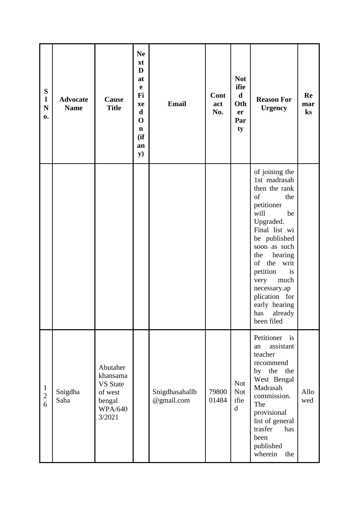| S<br>$\mathbf{l}$<br>$\mathbf N$<br>0. | <b>Advocate</b><br><b>Name</b> | Cause<br><b>Title</b>                                                                    | <b>Ne</b><br>xt<br>D<br>at<br>$\mathbf e$<br>Fi<br>xe<br>$\mathbf d$<br>$\mathbf 0$<br>$\mathbf n$<br>(ii)<br>an<br><b>y</b> ) | <b>Email</b>                 | Cont<br>act<br>No. | <b>Not</b><br>ifie<br>$\mathbf d$<br>Oth<br>er<br>Par<br>ty | <b>Reason For</b><br><b>Urgency</b>                                                                                                                                                                                                                                                                            | Re<br>mar<br>ks |
|----------------------------------------|--------------------------------|------------------------------------------------------------------------------------------|--------------------------------------------------------------------------------------------------------------------------------|------------------------------|--------------------|-------------------------------------------------------------|----------------------------------------------------------------------------------------------------------------------------------------------------------------------------------------------------------------------------------------------------------------------------------------------------------------|-----------------|
|                                        |                                |                                                                                          |                                                                                                                                |                              |                    |                                                             | of joining the<br>1st madrasah<br>then the rank<br>of<br>the<br>petitioner<br>will<br>be<br>Upgraded.<br>Final list wi<br>be published<br>soon as such<br>hearing<br>the<br>of<br>the<br>writ<br>petition<br>is<br>very<br>much<br>necessary.ap<br>plication for<br>early hearing<br>has already<br>been filed |                 |
| $\mathbf{1}$<br>$\sqrt{2}$<br>6        | Snigdha<br>Saha                | Abutaher<br>khansama<br><b>VS</b> State<br>of west<br>bengal<br><b>WPA/640</b><br>3/2021 |                                                                                                                                | Snigdhasahallb<br>@gmail.com | 79800<br>01484     | <b>Not</b><br><b>Not</b><br>ifie<br>$\mathbf d$             | Petitioner<br>$\mathbf{a}$<br>assistant<br>an<br>teacher<br>recommend<br>by the the<br>West Bengal<br>Madrasah<br>commission.<br>The<br>provisional<br>list of general<br>$\,\mathrm{has}\,$<br>trasfer<br>been<br>published<br>wherein<br>the                                                                 | Allo<br>wed     |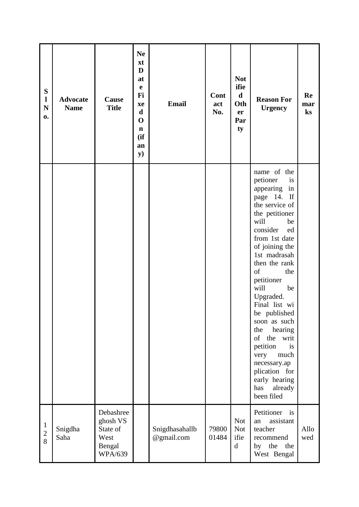| ${\bf S}$<br>$\mathbf{l}$<br>${\bf N}$<br>0. | <b>Advocate</b><br><b>Name</b> | Cause<br><b>Title</b>                                                 | <b>Ne</b><br>xt<br>D<br>at<br>$\mathbf e$<br>Fi<br>xe<br>$\mathbf d$<br>$\mathbf 0$<br>$\mathbf n$<br>(ii)<br>an<br><b>y</b> ) | <b>Email</b>                 | Cont<br>act<br>No. | <b>Not</b><br>ifie<br>$\mathbf d$<br>Oth<br>er<br>Par<br>ty | <b>Reason For</b><br><b>Urgency</b>                                                                                                                                                                                                                                                                                                                                                                                                                                       | Re<br>mar<br>ks |
|----------------------------------------------|--------------------------------|-----------------------------------------------------------------------|--------------------------------------------------------------------------------------------------------------------------------|------------------------------|--------------------|-------------------------------------------------------------|---------------------------------------------------------------------------------------------------------------------------------------------------------------------------------------------------------------------------------------------------------------------------------------------------------------------------------------------------------------------------------------------------------------------------------------------------------------------------|-----------------|
|                                              |                                |                                                                       |                                                                                                                                |                              |                    |                                                             | name of the<br>petioner<br>is<br>appearing<br>in<br>page 14.<br>If<br>the service of<br>the petitioner<br>will<br>be<br>consider<br>ed<br>from 1st date<br>of joining the<br>1st madrasah<br>then the rank<br>of<br>the<br>petitioner<br>will<br>be<br>Upgraded.<br>Final list wi<br>be published<br>soon as such<br>the<br>hearing<br>of<br>the writ<br>petition<br>is<br>much<br>very<br>necessary.ap<br>plication for<br>early hearing<br>already<br>has<br>been filed |                 |
| $\mathbf{1}$<br>$\overline{c}$<br>8          | Snigdha<br>Saha                | Debashree<br>ghosh VS<br>State of<br>West<br>Bengal<br><b>WPA/639</b> |                                                                                                                                | Snigdhasahallb<br>@gmail.com | 79800<br>01484     | <b>Not</b><br><b>Not</b><br>ifie<br>$\mathbf d$             | Petitioner<br>$\frac{1}{1}$<br>assistant<br>an<br>teacher<br>recommend<br>by the<br>the<br>West Bengal                                                                                                                                                                                                                                                                                                                                                                    | Allo<br>wed     |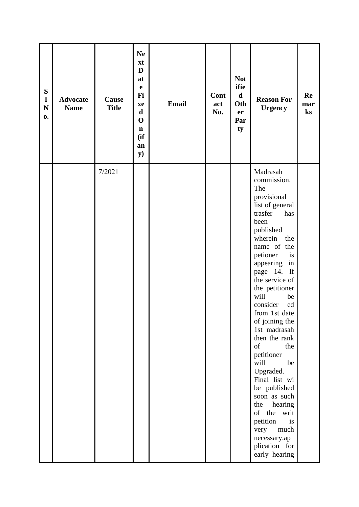| ${\bf S}$<br>$\mathbf{l}$<br>${\bf N}$<br>0. | <b>Advocate</b><br><b>Name</b> | Cause<br><b>Title</b> | <b>Ne</b><br>xt<br>D<br>at<br>$\mathbf e$<br>Fi<br>xe<br>$\mathbf d$<br>$\mathbf 0$<br>$\mathbf n$<br>(ii)<br>an<br><b>y</b> ) | <b>Email</b> | Cont<br>act<br>No. | <b>Not</b><br>ifie<br>$\mathbf d$<br>Oth<br>er<br>Par<br>ty | <b>Reason For</b><br><b>Urgency</b>                                                                                                                                                                                                                                                                                                                                                                                                                                                                                                                                 | Re<br>mar<br>$\mathbf{k}$ s |
|----------------------------------------------|--------------------------------|-----------------------|--------------------------------------------------------------------------------------------------------------------------------|--------------|--------------------|-------------------------------------------------------------|---------------------------------------------------------------------------------------------------------------------------------------------------------------------------------------------------------------------------------------------------------------------------------------------------------------------------------------------------------------------------------------------------------------------------------------------------------------------------------------------------------------------------------------------------------------------|-----------------------------|
|                                              |                                | 7/2021                |                                                                                                                                |              |                    |                                                             | Madrasah<br>commission.<br>The<br>provisional<br>list of general<br>trasfer<br>has<br>been<br>published<br>wherein<br>the<br>name of the<br>petioner<br>is<br>appearing<br>in<br>page 14. If<br>the service of<br>the petitioner<br>will<br>be<br>consider<br>ed<br>from 1st date<br>of joining the<br>1st madrasah<br>then the rank<br>of<br>the<br>petitioner<br>will<br>be<br>Upgraded.<br>Final list wi<br>be published<br>soon as such<br>hearing<br>the<br>of the<br>writ<br>petition<br>is<br>very<br>much<br>necessary.ap<br>plication for<br>early hearing |                             |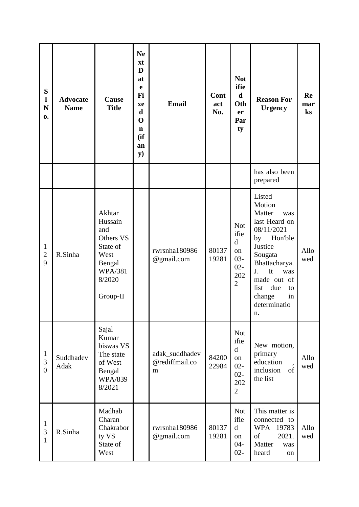| S<br>$\mathbf{l}$<br>$\mathbf N$<br>0. | <b>Advocate</b><br><b>Name</b> | <b>Cause</b><br><b>Title</b>                                                                                | <b>Ne</b><br>xt<br>D<br>at<br>e<br>Fi<br>xe<br>$\mathbf d$<br>$\mathbf 0$<br>$\mathbf n$<br>(ii)<br>an<br><b>y</b> ) | <b>Email</b>                          | Cont<br>act<br>No. | <b>Not</b><br>ifie<br>$\mathbf d$<br>Oth<br>er<br>Par<br>ty                          | <b>Reason For</b><br><b>Urgency</b>                                                                                                                                                                                   | Re<br>mar<br>$\mathbf{k}$ s |
|----------------------------------------|--------------------------------|-------------------------------------------------------------------------------------------------------------|----------------------------------------------------------------------------------------------------------------------|---------------------------------------|--------------------|--------------------------------------------------------------------------------------|-----------------------------------------------------------------------------------------------------------------------------------------------------------------------------------------------------------------------|-----------------------------|
|                                        |                                |                                                                                                             |                                                                                                                      |                                       |                    |                                                                                      | has also been<br>prepared                                                                                                                                                                                             |                             |
| $\mathbf{1}$<br>$\sqrt{2}$<br>9        | R.Sinha                        | Akhtar<br>Hussain<br>and<br>Others VS<br>State of<br>West<br>Bengal<br><b>WPA/381</b><br>8/2020<br>Group-II |                                                                                                                      | rwrsnha180986<br>@gmail.com           | 80137<br>19281     | <b>Not</b><br>ifie<br>$\mathbf d$<br>on<br>$03 -$<br>$02 -$<br>202<br>$\overline{2}$ | Listed<br>Motion<br>Matter<br>was<br>last Heard on<br>08/11/2021<br>Hon'ble<br>by<br>Justice<br>Sougata<br>Bhattacharya.<br>It<br>J.<br>was<br>made out of<br>due<br>list<br>to<br>change<br>in<br>determinatio<br>п. | Allo<br>wed                 |
| $\mathbf{1}$<br>3<br>$\overline{0}$    | Suddhadev<br>Adak              | Sajal<br>Kumar<br>biswas VS<br>The state<br>of West<br>Bengal<br><b>WPA/839</b><br>8/2021                   |                                                                                                                      | adak_suddhadev<br>@rediffmail.co<br>m | 84200<br>22984     | <b>Not</b><br>ifie<br>$\mathbf d$<br>on<br>$02 -$<br>$02 -$<br>202<br>$\overline{2}$ | New motion,<br>primary<br>education<br>inclusion<br>of<br>the list                                                                                                                                                    | Allo<br>wed                 |
| $\mathbf{1}$<br>$\mathfrak{Z}$<br>1    | R.Sinha                        | Madhab<br>Charan<br>Chakrabor<br>ty VS<br>State of<br>West                                                  |                                                                                                                      | rwrsnha180986<br>@gmail.com           | 80137<br>19281     | <b>Not</b><br>ifie<br>d<br>on<br>$04 -$<br>$02 -$                                    | This matter is<br>connected to<br>WPA 19783<br>of<br>2021.<br>Matter<br>was<br>heard<br>on                                                                                                                            | Allo<br>wed                 |